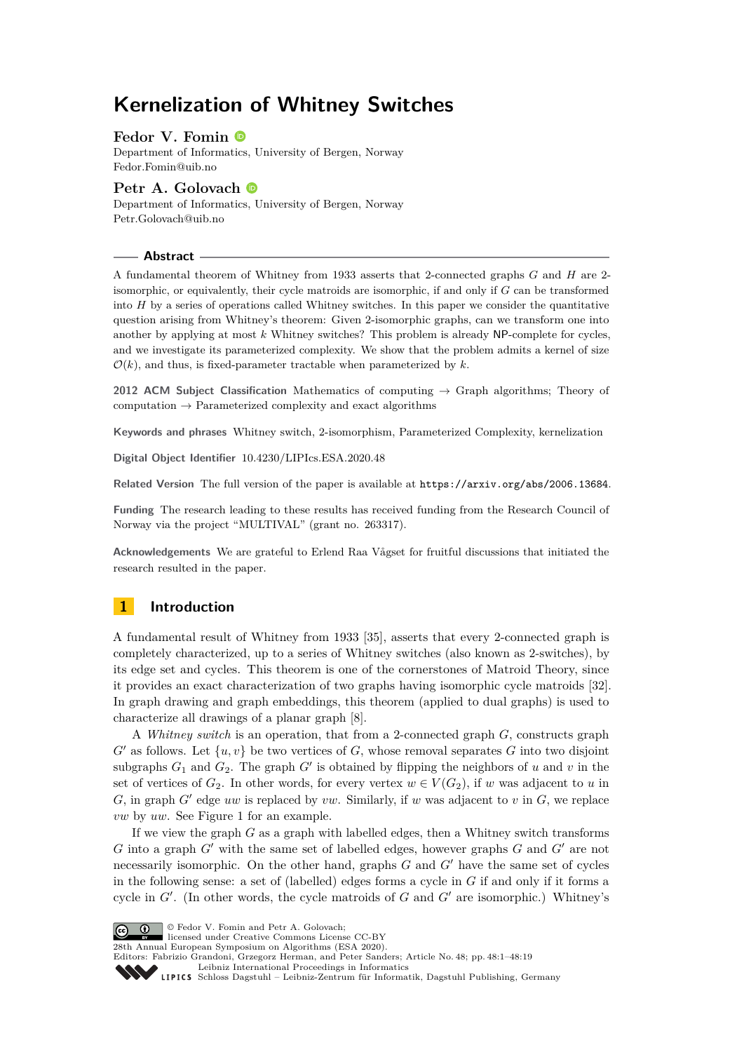# **Kernelization of Whitney Switches**

# **Fedor V. Fomin**

Department of Informatics, University of Bergen, Norway [Fedor.Fomin@uib.no](mailto:Fedor.Fomin@uib.no)

# **Petr A. Golovach**

Department of Informatics, University of Bergen, Norway [Petr.Golovach@uib.no](mailto:Petr.Golovach@uib.no)

#### **Abstract**

A fundamental theorem of Whitney from 1933 asserts that 2-connected graphs *G* and *H* are 2 isomorphic, or equivalently, their cycle matroids are isomorphic, if and only if *G* can be transformed into  $H$  by a series of operations called Whitney switches. In this paper we consider the quantitative question arising from Whitney's theorem: Given 2-isomorphic graphs, can we transform one into another by applying at most *k* Whitney switches? This problem is already NP-complete for cycles, and we investigate its parameterized complexity. We show that the problem admits a kernel of size  $\mathcal{O}(k)$ , and thus, is fixed-parameter tractable when parameterized by  $k$ .

**2012 ACM Subject Classification** Mathematics of computing → Graph algorithms; Theory of computation  $\rightarrow$  Parameterized complexity and exact algorithms

**Keywords and phrases** Whitney switch, 2-isomorphism, Parameterized Complexity, kernelization

**Digital Object Identifier** [10.4230/LIPIcs.ESA.2020.48](https://doi.org/10.4230/LIPIcs.ESA.2020.48)

**Related Version** The full version of the paper is available at <https://arxiv.org/abs/2006.13684>.

**Funding** The research leading to these results has received funding from the Research Council of Norway via the project "MULTIVAL" (grant no. 263317).

**Acknowledgements** We are grateful to Erlend Raa Vågset for fruitful discussions that initiated the research resulted in the paper.

# **1 Introduction**

A fundamental result of Whitney from 1933 [\[35\]](#page-18-0), asserts that every 2-connected graph is completely characterized, up to a series of Whitney switches (also known as 2-switches), by its edge set and cycles. This theorem is one of the cornerstones of Matroid Theory, since it provides an exact characterization of two graphs having isomorphic cycle matroids [\[32\]](#page-18-1). In graph drawing and graph embeddings, this theorem (applied to dual graphs) is used to characterize all drawings of a planar graph [\[8\]](#page-17-0).

A *Whitney switch* is an operation, that from a 2-connected graph *G*, constructs graph  $G'$  as follows. Let  $\{u, v\}$  be two vertices of  $G$ , whose removal separates  $G$  into two disjoint subgraphs  $G_1$  and  $G_2$ . The graph  $G'$  is obtained by flipping the neighbors of *u* and *v* in the set of vertices of  $G_2$ . In other words, for every vertex  $w \in V(G_2)$ , if w was adjacent to *u* in  $G$ , in graph  $G'$  edge  $uw$  is replaced by  $vw$ . Similarly, if  $w$  was adjacent to  $v$  in  $G$ , we replace *vw* by *uw*. See Figure [1](#page-1-0) for an example.

If we view the graph *G* as a graph with labelled edges, then a Whitney switch transforms *G* into a graph *G*<sup> $\prime$ </sup> with the same set of labelled edges, however graphs *G* and *G*<sup> $\prime$ </sup> are not necessarily isomorphic. On the other hand, graphs *G* and *G'* have the same set of cycles in the following sense: a set of (labelled) edges forms a cycle in *G* if and only if it forms a cycle in  $G'$ . (In other words, the cycle matroids of  $G$  and  $G'$  are isomorphic.) Whitney's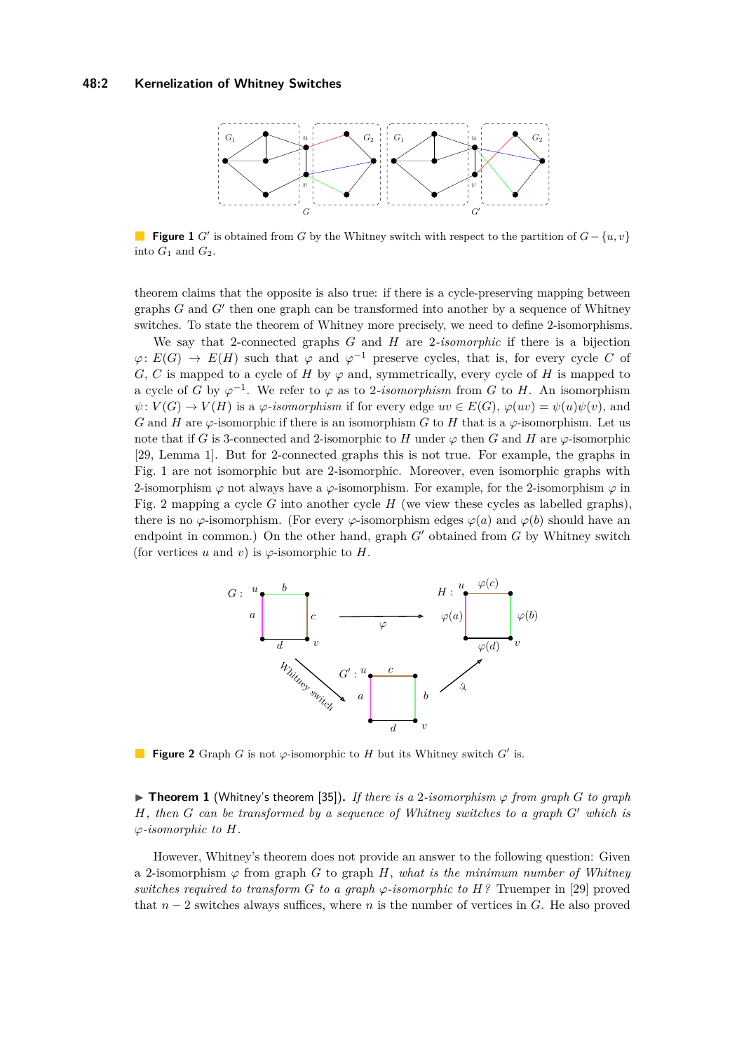#### <span id="page-1-0"></span>**48:2 Kernelization of Whitney Switches**



**Figure 1** *G*<sup> $\prime$ </sup> is obtained from *G* by the Whitney switch with respect to the partition of *G* − {*u, v*} into  $G_1$  and  $G_2$ .

theorem claims that the opposite is also true: if there is a cycle-preserving mapping between graphs  $G$  and  $G'$  then one graph can be transformed into another by a sequence of Whitney switches. To state the theorem of Whitney more precisely, we need to define 2-isomorphisms.

We say that 2-connected graphs *G* and *H* are 2*-isomorphic* if there is a bijection  $\varphi: E(G) \to E(H)$  such that  $\varphi$  and  $\varphi^{-1}$  preserve cycles, that is, for every cycle *C* of *G*, *C* is mapped to a cycle of *H* by  $\varphi$  and, symmetrically, every cycle of *H* is mapped to a cycle of *G* by  $\varphi^{-1}$ . We refer to  $\varphi$  as to 2*-isomorphism* from *G* to *H*. An isomorphism  $\psi: V(G) \to V(H)$  is a  $\varphi$ -*isomorphism* if for every edge  $uv \in E(G)$ ,  $\varphi(uv) = \psi(u)\psi(v)$ , and *G* and *H* are  $\varphi$ -isomorphic if there is an isomorphism *G* to *H* that is a  $\varphi$ -isomorphism. Let us note that if *G* is 3-connected and 2-isomorphic to *H* under  $\varphi$  then *G* and *H* are  $\varphi$ -isomorphic [\[29,](#page-18-3) Lemma 1]. But for 2-connected graphs this is not true. For example, the graphs in Fig. [1](#page-1-0) are not isomorphic but are 2-isomorphic. Moreover, even isomorphic graphs with 2-isomorphism  $\varphi$  not always have a  $\varphi$ -isomorphism. For example, for the 2-isomorphism  $\varphi$  in Fig. [2](#page-1-1) mapping a cycle *G* into another cycle *H* (we view these cycles as labelled graphs), there is no  $\varphi$ -isomorphism. (For every  $\varphi$ -isomorphism edges  $\varphi(a)$  and  $\varphi(b)$  should have an endpoint in common.) On the other hand, graph  $G'$  obtained from  $G$  by Whitney switch (for vertices *u* and *v*) is  $\varphi$ -isomorphic to *H*.

<span id="page-1-1"></span>

**Figure 2** Graph *G* is not  $\varphi$ -isomorphic to *H* but its Whitney switch *G'* is.

<span id="page-1-2"></span>▶ **Theorem 1** (Whitney's theorem [\[35\]](#page-18-0)). *If there is a 2-isomorphism*  $\varphi$  *from graph G to graph*  $H$ *, then*  $G$  *can be transformed by a sequence of Whitney switches to a graph*  $G'$  *which is ϕ-isomorphic to H.*

However, Whitney's theorem does not provide an answer to the following question: Given a 2-isomorphism  $\varphi$  from graph *G* to graph *H*, *what is the minimum number of Whitney switches required to transform G to a graph*  $\varphi$ -*isomorphic to*  $H$ ? Truemper in [\[29\]](#page-18-3) proved that *n* − 2 switches always suffices, where *n* is the number of vertices in *G*. He also proved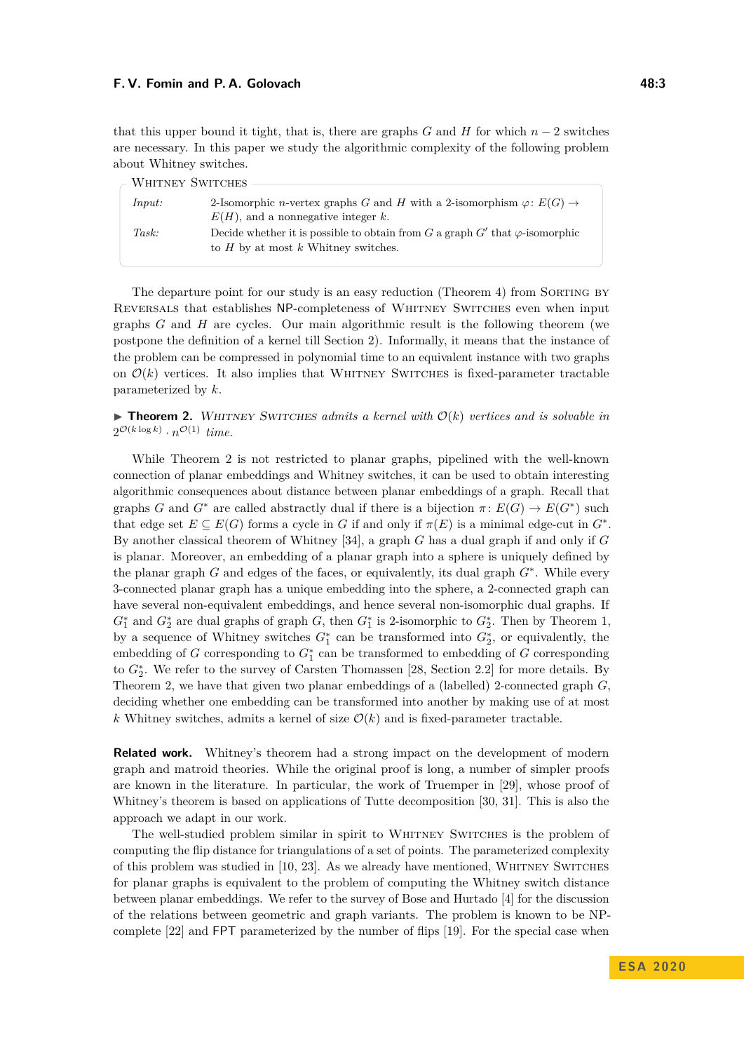that this upper bound it tight, that is, there are graphs *G* and *H* for which  $n-2$  switches are necessary. In this paper we study the algorithmic complexity of the following problem about Whitney switches.

| - WHITNEY SWITCHES |                                                                                                                                 |
|--------------------|---------------------------------------------------------------------------------------------------------------------------------|
|                    |                                                                                                                                 |
| Input:             | 2-Isomorphic <i>n</i> -vertex graphs G and H with a 2-isomorphism $\varphi: E(G) \to$                                           |
|                    | $E(H)$ , and a nonnegative integer k.                                                                                           |
| Task:              | Decide whether it is possible to obtain from G a graph G' that $\varphi$ -isomorphic<br>to $H$ by at most $k$ Whitney switches. |
|                    |                                                                                                                                 |

The departure point for our study is an easy reduction (Theorem [4\)](#page-6-0) from SORTING BY Reversals that establishes NP-completeness of Whitney Switches even when input graphs *G* and *H* are cycles. Our main algorithmic result is the following theorem (we postpone the definition of a kernel till Section [2\)](#page-3-0). Informally, it means that the instance of the problem can be compressed in polynomial time to an equivalent instance with two graphs on  $\mathcal{O}(k)$  vertices. It also implies that WHITNEY SWITCHES is fixed-parameter tractable parameterized by *k*.

<span id="page-2-0"></span> $\triangleright$  **Theorem 2.** WHITNEY SWITCHES *admits a kernel with*  $\mathcal{O}(k)$  *vertices and is solvable in*  $2^{\mathcal{O}(k \log k)} \cdot n^{\mathcal{O}(1)}$  *time.* 

While Theorem [2](#page-2-0) is not restricted to planar graphs, pipelined with the well-known connection of planar embeddings and Whitney switches, it can be used to obtain interesting algorithmic consequences about distance between planar embeddings of a graph. Recall that graphs *G* and  $G^*$  are called abstractly dual if there is a bijection  $\pi: E(G) \to E(G^*)$  such that edge set  $E \subseteq E(G)$  forms a cycle in *G* if and only if  $\pi(E)$  is a minimal edge-cut in  $G^*$ . By another classical theorem of Whitney [\[34\]](#page-18-4), a graph *G* has a dual graph if and only if *G* is planar. Moreover, an embedding of a planar graph into a sphere is uniquely defined by the planar graph *G* and edges of the faces, or equivalently, its dual graph *G*<sup>∗</sup> . While every 3-connected planar graph has a unique embedding into the sphere, a 2-connected graph can have several non-equivalent embeddings, and hence several non-isomorphic dual graphs. If  $G_1^*$  and  $G_2^*$  are dual graphs of graph *G*, then  $G_1^*$  is 2-isomorphic to  $G_2^*$ . Then by Theorem [1,](#page-1-2) by a sequence of Whitney switches  $G_1^*$  can be transformed into  $G_2^*$ , or equivalently, the embedding of  $G$  corresponding to  $G_1^*$  can be transformed to embedding of  $G$  corresponding to  $G_2^*$ . We refer to the survey of Carsten Thomassen [\[28,](#page-18-5) Section 2.2] for more details. By Theorem [2,](#page-2-0) we have that given two planar embeddings of a (labelled) 2-connected graph *G*, deciding whether one embedding can be transformed into another by making use of at most *k* Whitney switches, admits a kernel of size  $\mathcal{O}(k)$  and is fixed-parameter tractable.

**Related work.** Whitney's theorem had a strong impact on the development of modern graph and matroid theories. While the original proof is long, a number of simpler proofs are known in the literature. In particular, the work of Truemper in [\[29\]](#page-18-3), whose proof of Whitney's theorem is based on applications of Tutte decomposition [\[30,](#page-18-6) [31\]](#page-18-7). This is also the approach we adapt in our work.

The well-studied problem similar in spirit to WHITNEY SWITCHES is the problem of computing the flip distance for triangulations of a set of points. The parameterized complexity of this problem was studied in  $[10, 23]$  $[10, 23]$  $[10, 23]$ . As we already have mentioned, WHITNEY SWITCHES for planar graphs is equivalent to the problem of computing the Whitney switch distance between planar embeddings. We refer to the survey of Bose and Hurtado [\[4\]](#page-16-0) for the discussion of the relations between geometric and graph variants. The problem is known to be NPcomplete [\[22\]](#page-17-3) and FPT parameterized by the number of flips [\[19\]](#page-17-4). For the special case when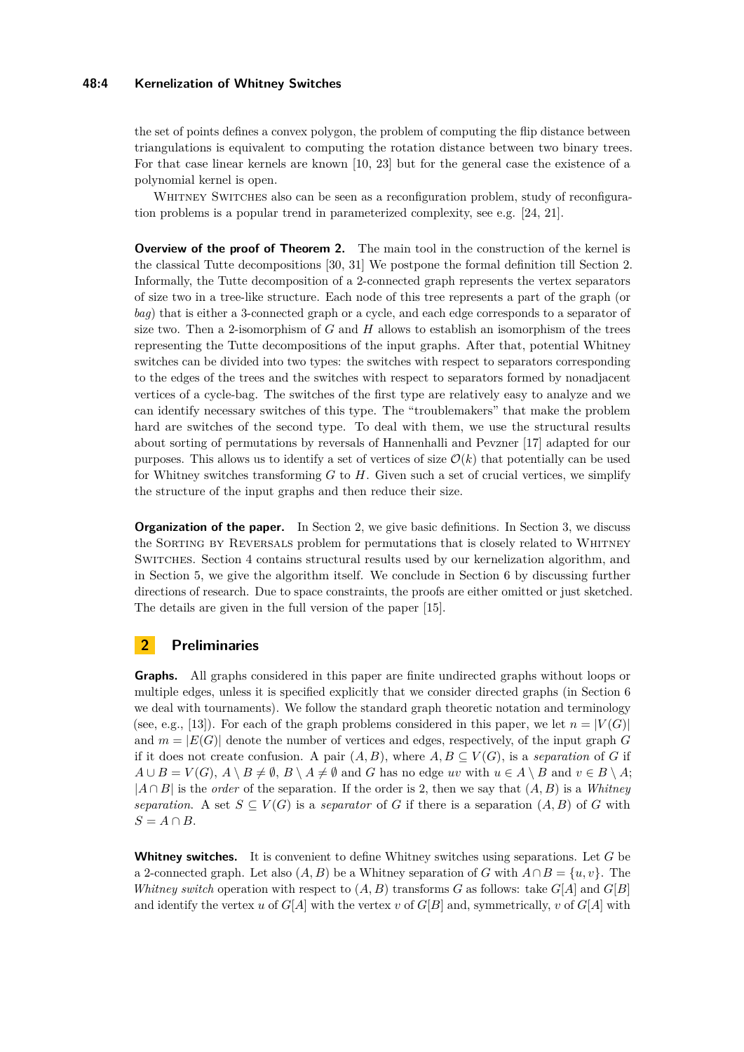#### **48:4 Kernelization of Whitney Switches**

the set of points defines a convex polygon, the problem of computing the flip distance between triangulations is equivalent to computing the rotation distance between two binary trees. For that case linear kernels are known [\[10,](#page-17-1) [23\]](#page-17-2) but for the general case the existence of a polynomial kernel is open.

WHITNEY SWITCHES also can be seen as a reconfiguration problem, study of reconfiguration problems is a popular trend in parameterized complexity, see e.g. [\[24,](#page-17-5) [21\]](#page-17-6).

**Overview of the proof of Theorem [2.](#page-2-0)** The main tool in the construction of the kernel is the classical Tutte decompositions [\[30,](#page-18-6) [31\]](#page-18-7) We postpone the formal definition till Section [2.](#page-3-0) Informally, the Tutte decomposition of a 2-connected graph represents the vertex separators of size two in a tree-like structure. Each node of this tree represents a part of the graph (or *bag*) that is either a 3-connected graph or a cycle, and each edge corresponds to a separator of size two. Then a 2-isomorphism of *G* and *H* allows to establish an isomorphism of the trees representing the Tutte decompositions of the input graphs. After that, potential Whitney switches can be divided into two types: the switches with respect to separators corresponding to the edges of the trees and the switches with respect to separators formed by nonadjacent vertices of a cycle-bag. The switches of the first type are relatively easy to analyze and we can identify necessary switches of this type. The "troublemakers" that make the problem hard are switches of the second type. To deal with them, we use the structural results about sorting of permutations by reversals of Hannenhalli and Pevzner [\[17\]](#page-17-7) adapted for our purposes. This allows us to identify a set of vertices of size  $\mathcal{O}(k)$  that potentially can be used for Whitney switches transforming *G* to *H*. Given such a set of crucial vertices, we simplify the structure of the input graphs and then reduce their size.

**Organization of the paper.** In Section [2,](#page-3-0) we give basic definitions. In Section [3,](#page-5-0) we discuss the Sorting by Reversals problem for permutations that is closely related to Whitney Switches. Section [4](#page-8-0) contains structural results used by our kernelization algorithm, and in Section [5,](#page-10-0) we give the algorithm itself. We conclude in Section [6](#page-14-0) by discussing further directions of research. Due to space constraints, the proofs are either omitted or just sketched. The details are given in the full version of the paper [\[15\]](#page-17-8).

### <span id="page-3-0"></span>**2 Preliminaries**

**Graphs.** All graphs considered in this paper are finite undirected graphs without loops or multiple edges, unless it is specified explicitly that we consider directed graphs (in Section [6](#page-14-0) we deal with tournaments). We follow the standard graph theoretic notation and terminology (see, e.g., [\[13\]](#page-17-9)). For each of the graph problems considered in this paper, we let  $n = |V(G)|$ and  $m = |E(G)|$  denote the number of vertices and edges, respectively, of the input graph  $G$ if it does not create confusion. A pair  $(A, B)$ , where  $A, B \subseteq V(G)$ , is a *separation* of *G* if  $A \cup B = V(G)$ ,  $A \setminus B \neq \emptyset$ ,  $B \setminus A \neq \emptyset$  and *G* has no edge *uv* with  $u \in A \setminus B$  and  $v \in B \setminus A$ ; |*A* ∩ *B*| is the *order* of the separation. If the order is 2, then we say that (*A, B*) is a *Whitney separation.* A set  $S \subseteq V(G)$  is a *separator* of *G* if there is a separation  $(A, B)$  of *G* with  $S = A \cap B$ .

**Whitney switches.** It is convenient to define Whitney switches using separations. Let *G* be a 2-connected graph. Let also  $(A, B)$  be a Whitney separation of *G* with  $A \cap B = \{u, v\}$ . The *Whitney switch* operation with respect to  $(A, B)$  transforms *G* as follows: take  $G[A]$  and  $G[B]$ and identify the vertex *u* of  $G[A]$  with the vertex *v* of  $G[B]$  and, symmetrically, *v* of  $G[A]$  with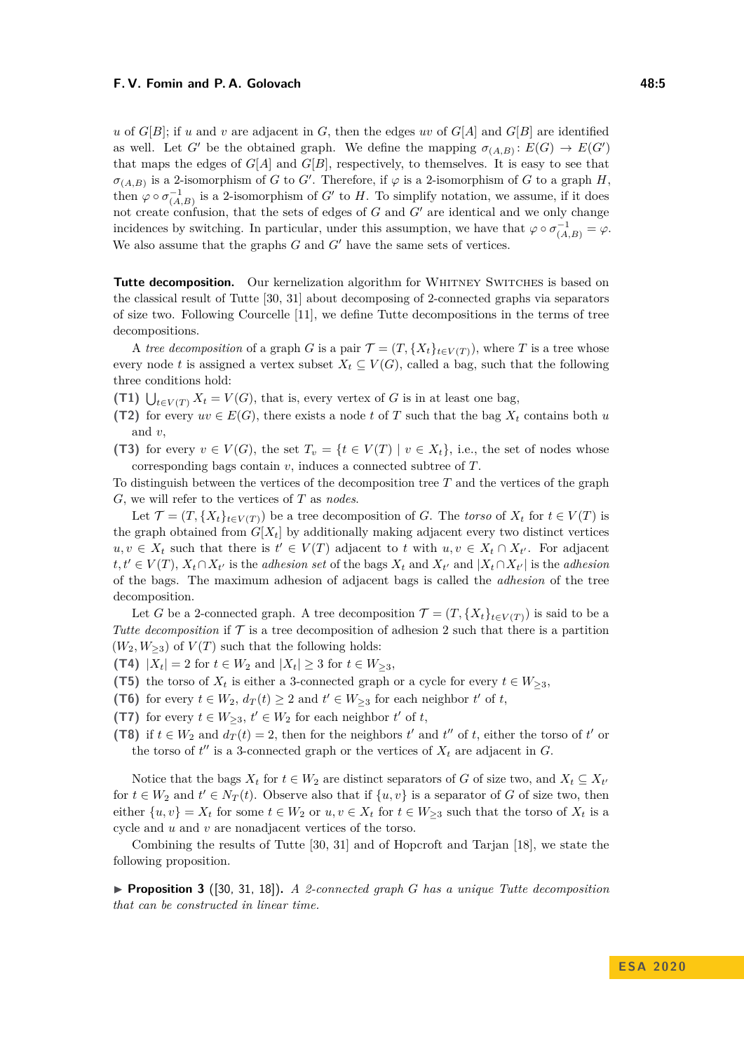*u* of  $G[B]$ ; if *u* and *v* are adjacent in *G*, then the edges *uv* of  $G[A]$  and  $G[B]$  are identified as well. Let *G'* be the obtained graph. We define the mapping  $\sigma_{(A,B)}$ :  $E(G) \to E(G')$ that maps the edges of  $G[A]$  and  $G[B]$ , respectively, to themselves. It is easy to see that  $\sigma_{(A,B)}$  is a 2-isomorphism of *G* to *G'*. Therefore, if  $\varphi$  is a 2-isomorphism of *G* to a graph *H*, then  $\varphi \circ \sigma_{(A,B)}^{-1}$  is a 2-isomorphism of *G'* to *H*. To simplify notation, we assume, if it does not create confusion, that the sets of edges of  $G$  and  $G'$  are identical and we only change incidences by switching. In particular, under this assumption, we have that  $\varphi \circ \sigma_{(A,B)}^{-1} = \varphi$ . We also assume that the graphs  $G$  and  $G'$  have the same sets of vertices.

**Tutte decomposition.** Our kernelization algorithm for WHITNEY SWITCHES is based on the classical result of Tutte [\[30,](#page-18-6) [31\]](#page-18-7) about decomposing of 2-connected graphs via separators of size two. Following Courcelle [\[11\]](#page-17-10), we define Tutte decompositions in the terms of tree decompositions.

A *tree decomposition* of a graph *G* is a pair  $\mathcal{T} = (T, \{X_t\}_{t \in V(T)})$ , where *T* is a tree whose every node *t* is assigned a vertex subset  $X_t \subseteq V(G)$ , called a bag, such that the following three conditions hold:

**(T1)**  $\bigcup_{t \in V(T)} X_t = V(G)$ , that is, every vertex of *G* is in at least one bag,

- **(T2)** for every  $uv \in E(G)$ , there exists a node *t* of *T* such that the bag  $X_t$  contains both *u* and *v*,
- **(T3)** for every  $v \in V(G)$ , the set  $T_v = \{t \in V(T) \mid v \in X_t\}$ , i.e., the set of nodes whose corresponding bags contain *v*, induces a connected subtree of *T*.

To distinguish between the vertices of the decomposition tree *T* and the vertices of the graph *G*, we will refer to the vertices of *T* as *nodes*.

Let  $\mathcal{T} = (T, \{X_t\}_{t \in V(T)})$  be a tree decomposition of *G*. The *torso* of  $X_t$  for  $t \in V(T)$  is the graph obtained from  $G[X_t]$  by additionally making adjacent every two distinct vertices  $u, v \in X_t$  such that there is  $t' \in V(T)$  adjacent to *t* with  $u, v \in X_t \cap X_{t'}$ . For adjacent  $t, t' \in V(T), X_t \cap X_{t'}$  is the *adhesion set* of the bags  $X_t$  and  $X_{t'}$  and  $|X_t \cap X_{t'}|$  is the *adhesion* of the bags. The maximum adhesion of adjacent bags is called the *adhesion* of the tree decomposition.

Let *G* be a 2-connected graph. A tree decomposition  $\mathcal{T} = (T, \{X_t\}_{t \in V(T)})$  is said to be a *Tutte decomposition* if  $\mathcal T$  is a tree decomposition of adhesion 2 such that there is a partition  $(W_2, W_{\geq 3})$  of  $V(T)$  such that the following holds:

**(T4)**  $|X_t| = 2$  for  $t \in W_2$  and  $|X_t| \geq 3$  for  $t \in W_{\geq 3}$ ,

- **(T5)** the torso of  $X_t$  is either a 3-connected graph or a cycle for every  $t \in W_{\geq 3}$ ,
- **(T6)** for every  $t \in W_2$ ,  $d_T(t) \geq 2$  and  $t' \in W_{\geq 3}$  for each neighbor  $t'$  of  $t$ ,
- **(T7)** for every  $t \in W_{\geq 3}$ ,  $t' \in W_2$  for each neighbor  $t'$  of  $t$ ,
- **(T8)** if  $t \in W_2$  and  $d_T(t) = 2$ , then for the neighbors  $t'$  and  $t''$  of  $t$ , either the torso of  $t'$  or the torso of  $t''$  is a 3-connected graph or the vertices of  $X_t$  are adjacent in  $G$ .

Notice that the bags  $X_t$  for  $t \in W_2$  are distinct separators of *G* of size two, and  $X_t \subseteq X_{t'}$ for  $t \in W_2$  and  $t' \in N_T(t)$ . Observe also that if  $\{u, v\}$  is a separator of *G* of size two, then either  $\{u, v\} = X_t$  for some  $t \in W_2$  or  $u, v \in X_t$  for  $t \in W_{\geq 3}$  such that the torso of  $X_t$  is a cycle and *u* and *v* are nonadjacent vertices of the torso.

Combining the results of Tutte [\[30,](#page-18-6) [31\]](#page-18-7) and of Hopcroft and Tarjan [\[18\]](#page-17-11), we state the following proposition.

<span id="page-4-0"></span>I **Proposition 3** ([\[30,](#page-18-6) [31,](#page-18-7) [18\]](#page-17-11))**.** *A 2-connected graph G has a unique Tutte decomposition that can be constructed in linear time.*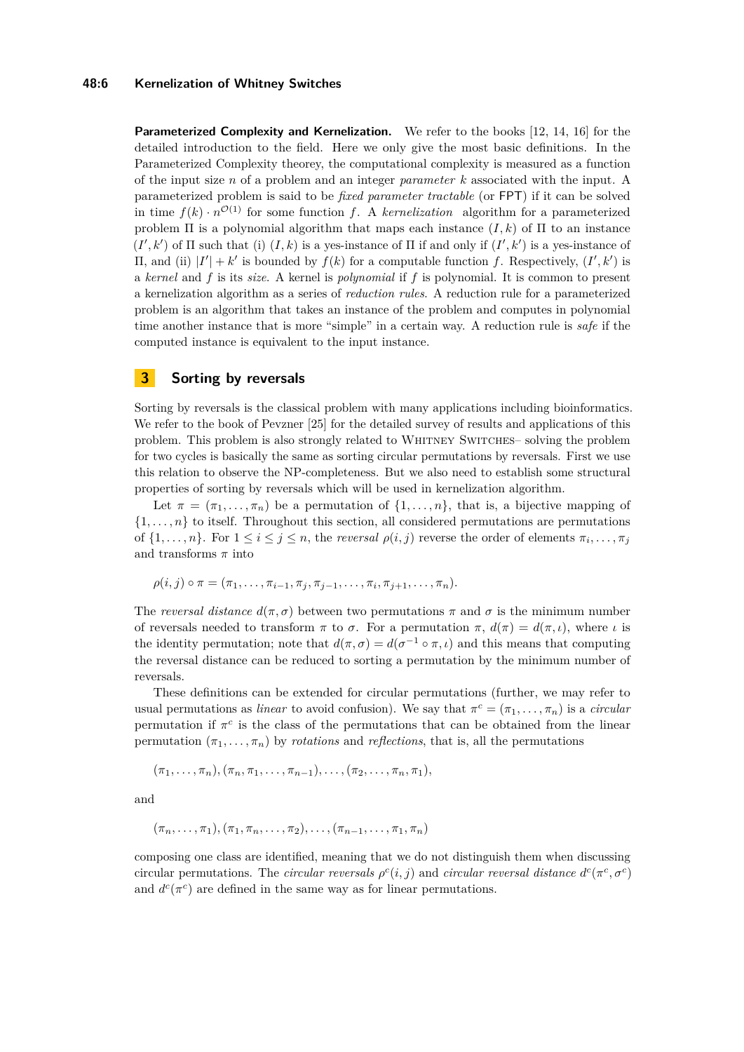#### **48:6 Kernelization of Whitney Switches**

**Parameterized Complexity and Kernelization.** We refer to the books [\[12,](#page-17-12) [14,](#page-17-13) [16\]](#page-17-14) for the detailed introduction to the field. Here we only give the most basic definitions. In the Parameterized Complexity theorey, the computational complexity is measured as a function of the input size *n* of a problem and an integer *parameter k* associated with the input. A parameterized problem is said to be *fixed parameter tractable* (or FPT) if it can be solved in time  $f(k) \cdot n^{\mathcal{O}(1)}$  for some function *f*. A *kernelization* algorithm for a parameterized problem  $\Pi$  is a polynomial algorithm that maps each instance  $(I, k)$  of  $\Pi$  to an instance  $(I', k')$  of  $\Pi$  such that (i)  $(I, k)$  is a yes-instance of  $\Pi$  if and only if  $(I', k')$  is a yes-instance of II, and (ii)  $|I'| + k'$  is bounded by  $f(k)$  for a computable function *f*. Respectively,  $(I', k')$  is a *kernel* and *f* is its *size*. A kernel is *polynomial* if *f* is polynomial. It is common to present a kernelization algorithm as a series of *reduction rules*. A reduction rule for a parameterized problem is an algorithm that takes an instance of the problem and computes in polynomial time another instance that is more "simple" in a certain way. A reduction rule is *safe* if the computed instance is equivalent to the input instance.

# <span id="page-5-0"></span>**3 Sorting by reversals**

Sorting by reversals is the classical problem with many applications including bioinformatics. We refer to the book of Pevzner [\[25\]](#page-17-15) for the detailed survey of results and applications of this problem. This problem is also strongly related to Whitney Switches– solving the problem for two cycles is basically the same as sorting circular permutations by reversals. First we use this relation to observe the NP-completeness. But we also need to establish some structural properties of sorting by reversals which will be used in kernelization algorithm.

Let  $\pi = (\pi_1, \ldots, \pi_n)$  be a permutation of  $\{1, \ldots, n\}$ , that is, a bijective mapping of  $\{1, \ldots, n\}$  to itself. Throughout this section, all considered permutations are permutations of  $\{1, \ldots, n\}$ . For  $1 \leq i \leq j \leq n$ , the *reversal*  $\rho(i, j)$  reverse the order of elements  $\pi_i, \ldots, \pi_j$ and transforms  $\pi$  into

$$
\rho(i,j) \circ \pi = (\pi_1, \ldots, \pi_{i-1}, \pi_j, \pi_{j-1}, \ldots, \pi_i, \pi_{j+1}, \ldots, \pi_n).
$$

The *reversal distance*  $d(\pi, \sigma)$  between two permutations  $\pi$  and  $\sigma$  is the minimum number of reversals needed to transform  $\pi$  to  $\sigma$ . For a permutation  $\pi$ ,  $d(\pi) = d(\pi, \iota)$ , where  $\iota$  is the identity permutation; note that  $d(\pi, \sigma) = d(\sigma^{-1} \circ \pi, \iota)$  and this means that computing the reversal distance can be reduced to sorting a permutation by the minimum number of reversals.

These definitions can be extended for circular permutations (further, we may refer to usual permutations as *linear* to avoid confusion). We say that  $\pi^c = (\pi_1, \ldots, \pi_n)$  is a *circular* permutation if  $\pi^c$  is the class of the permutations that can be obtained from the linear permutation  $(\pi_1, \ldots, \pi_n)$  by *rotations* and *reflections*, that is, all the permutations

 $(\pi_1, \ldots, \pi_n), (\pi_n, \pi_1, \ldots, \pi_{n-1}), \ldots, (\pi_2, \ldots, \pi_n, \pi_1),$ 

and

$$
(\pi_n, \ldots, \pi_1), (\pi_1, \pi_n, \ldots, \pi_2), \ldots, (\pi_{n-1}, \ldots, \pi_1, \pi_n)
$$

composing one class are identified, meaning that we do not distinguish them when discussing circular permutations. The *circular reversals*  $\rho^{c}(i, j)$  and *circular reversal distance*  $d^{c}(\pi^{c}, \sigma^{c})$ and  $d^c(\pi^c)$  are defined in the same way as for linear permutations.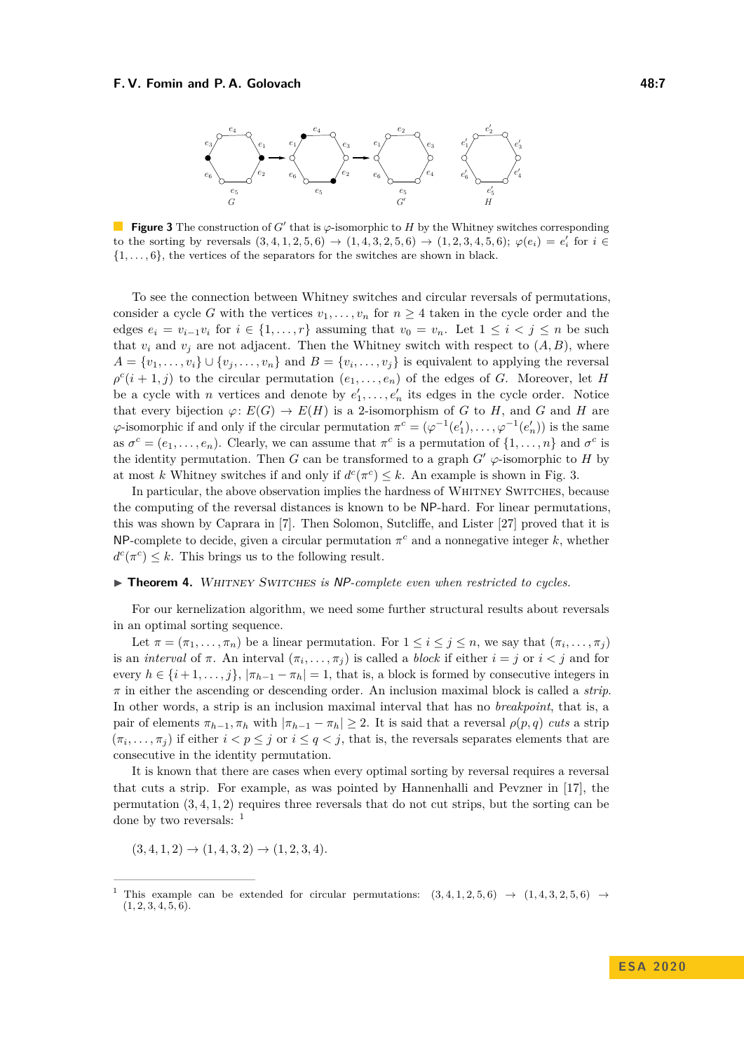<span id="page-6-1"></span>

**Figure 3** The construction of *G*<sup> $\prime$ </sup> that is  $\varphi$ -isomorphic to *H* by the Whitney switches corresponding to the sorting by reversals  $(3,4,1,2,5,6) \rightarrow (1,4,3,2,5,6) \rightarrow (1,2,3,4,5,6); \varphi(e_i) = e'_i$  for  $i \in$ {1*, . . . ,* 6}, the vertices of the separators for the switches are shown in black.

To see the connection between Whitney switches and circular reversals of permutations, consider a cycle *G* with the vertices  $v_1, \ldots, v_n$  for  $n \geq 4$  taken in the cycle order and the edges  $e_i = v_{i-1}v_i$  for  $i \in \{1, ..., r\}$  assuming that  $v_0 = v_n$ . Let  $1 \leq i \leq j \leq n$  be such that  $v_i$  and  $v_j$  are not adjacent. Then the Whitney switch with respect to  $(A, B)$ , where  $A = \{v_1, \ldots, v_i\} \cup \{v_j, \ldots, v_n\}$  and  $B = \{v_i, \ldots, v_j\}$  is equivalent to applying the reversal  $\rho^{c}(i+1,j)$  to the circular permutation  $(e_1,\ldots,e_n)$  of the edges of *G*. Moreover, let *H* be a cycle with *n* vertices and denote by  $e'_1, \ldots, e'_n$  its edges in the cycle order. Notice that every bijection  $\varphi: E(G) \to E(H)$  is a 2-isomorphism of *G* to *H*, and *G* and *H* are  $\varphi$ -isomorphic if and only if the circular permutation  $\pi^c = (\varphi^{-1}(e'_1), \ldots, \varphi^{-1}(e'_n))$  is the same as  $\sigma^c = (e_1, \ldots, e_n)$ . Clearly, we can assume that  $\pi^c$  is a permutation of  $\{1, \ldots, n\}$  and  $\sigma^c$  is the identity permutation. Then *G* can be transformed to a graph  $G' \varphi$ -isomorphic to *H* by at most *k* Whitney switches if and only if  $d^c(\pi^c) \leq k$ . An example is shown in Fig. [3.](#page-6-1)

In particular, the above observation implies the hardness of Whitney Switches, because the computing of the reversal distances is known to be NP-hard. For linear permutations, this was shown by Caprara in [\[7\]](#page-16-1). Then Solomon, Sutcliffe, and Lister [\[27\]](#page-17-16) proved that it is NP-complete to decide, given a circular permutation  $\pi^c$  and a nonnegative integer  $k$ , whether  $d^c(\pi^c) \leq k$ . This brings us to the following result.

#### <span id="page-6-0"></span>▶ **Theorem 4.** WHITNEY SWITCHES is NP-complete even when restricted to cycles.

For our kernelization algorithm, we need some further structural results about reversals in an optimal sorting sequence.

Let  $\pi = (\pi_1, \ldots, \pi_n)$  be a linear permutation. For  $1 \leq i \leq j \leq n$ , we say that  $(\pi_i, \ldots, \pi_j)$ is an *interval* of  $\pi$ . An interval  $(\pi_i, \ldots, \pi_j)$  is called a *block* if either  $i = j$  or  $i < j$  and for every  $h \in \{i+1,\ldots,j\}, |\pi_{h-1} - \pi_h| = 1$ , that is, a block is formed by consecutive integers in *π* in either the ascending or descending order. An inclusion maximal block is called a *strip*. In other words, a strip is an inclusion maximal interval that has no *breakpoint*, that is, a pair of elements  $\pi_{h-1}, \pi_h$  with  $|\pi_{h-1} - \pi_h| \geq 2$ . It is said that a reversal  $\rho(p,q)$  *cuts* a strip  $(\pi_i, \ldots, \pi_j)$  if either  $i < p \leq j$  or  $i \leq q < j$ , that is, the reversals separates elements that are consecutive in the identity permutation.

It is known that there are cases when every optimal sorting by reversal requires a reversal that cuts a strip. For example, as was pointed by Hannenhalli and Pevzner in [\[17\]](#page-17-7), the permutation (3*,* 4*,* 1*,* 2) requires three reversals that do not cut strips, but the sorting can be done by two reversals: <sup>[1](#page-6-2)</sup>

$$
(3,4,1,2) \rightarrow (1,4,3,2) \rightarrow (1,2,3,4).
$$

<span id="page-6-2"></span><sup>&</sup>lt;sup>1</sup> This example can be extended for circular permutations:  $(3, 4, 1, 2, 5, 6) \rightarrow (1, 4, 3, 2, 5, 6) \rightarrow$  $(1, 2, 3, 4, 5, 6).$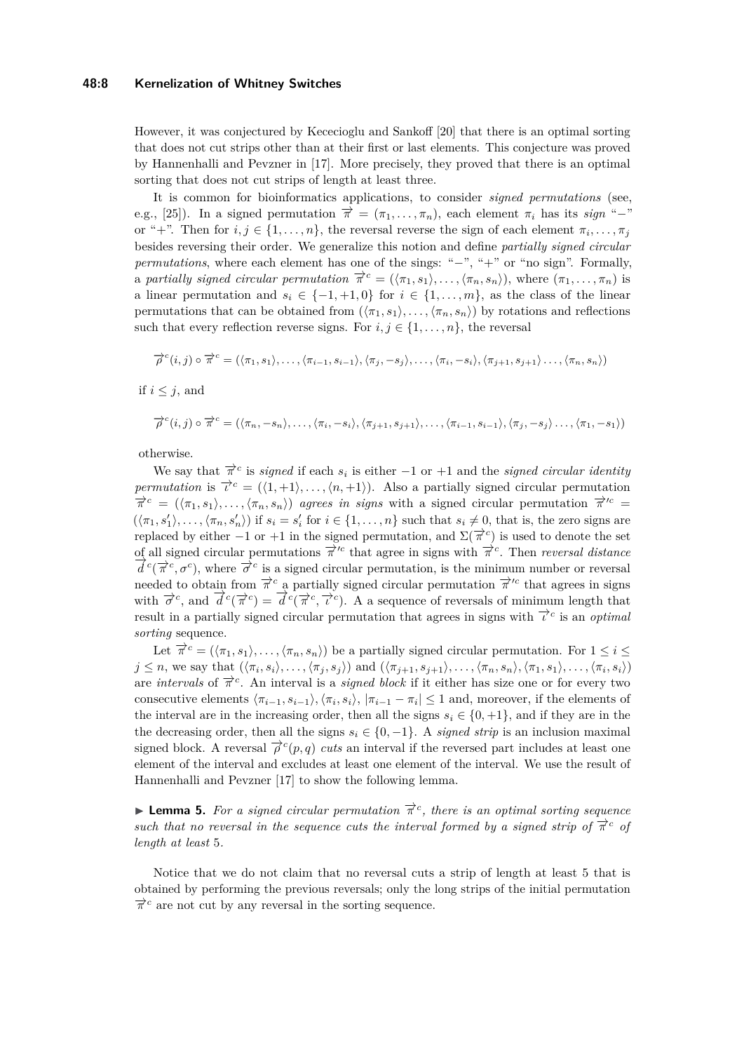#### **48:8 Kernelization of Whitney Switches**

However, it was conjectured by Kececioglu and Sankoff [\[20\]](#page-17-17) that there is an optimal sorting that does not cut strips other than at their first or last elements. This conjecture was proved by Hannenhalli and Pevzner in [\[17\]](#page-17-7). More precisely, they proved that there is an optimal sorting that does not cut strips of length at least three.

It is common for bioinformatics applications, to consider *signed permutations* (see, e.g., [\[25\]](#page-17-15)). In a signed permutation  $\vec{\pi} = (\pi_1, \ldots, \pi_n)$ , each element  $\pi_i$  has its *sign* "-" or "+". Then for  $i, j \in \{1, \ldots, n\}$ , the reversal reverse the sign of each element  $\pi_i, \ldots, \pi_j$ besides reversing their order. We generalize this notion and define *partially signed circular permutations*, where each element has one of the sings: "−", "+" or "no sign". Formally, a partially signed circular permutation  $\vec{\pi}^c = (\langle \pi_1, s_1 \rangle, \ldots, \langle \pi_n, s_n \rangle)$ , where  $(\pi_1, \ldots, \pi_n)$  is a linear permutation and  $s_i \in \{-1, +1, 0\}$  for  $i \in \{1, ..., m\}$ , as the class of the linear permutations that can be obtained from  $(\langle \pi_1, s_1 \rangle, \ldots, \langle \pi_n, s_n \rangle)$  by rotations and reflections such that every reflection reverse signs. For  $i, j \in \{1, \ldots, n\}$ , the reversal

$$
\overrightarrow{\rho}^c(i,j) \circ \overrightarrow{\pi}^c = (\langle \pi_1, s_1 \rangle, \dots, \langle \pi_{i-1}, s_{i-1} \rangle, \langle \pi_j, -s_j \rangle, \dots, \langle \pi_i, -s_i \rangle, \langle \pi_{j+1}, s_{j+1} \rangle \dots, \langle \pi_n, s_n \rangle)
$$

if  $i \leq j$ , and

$$
\overrightarrow{\rho}^{c}(i,j) \circ \overrightarrow{\pi}^{c} = (\langle \pi_{n}, -s_{n} \rangle, \ldots, \langle \pi_{i}, -s_{i} \rangle, \langle \pi_{j+1}, s_{j+1} \rangle, \ldots, \langle \pi_{i-1}, s_{i-1} \rangle, \langle \pi_{j}, -s_{j} \rangle \ldots, \langle \pi_{1}, -s_{1} \rangle)
$$

otherwise.

We say that  $\vec{\pi}^c$  is *signed* if each  $s_i$  is either -1 or +1 and the *signed circular identity permutation* is  $\vec{\tau}^c = (\langle 1, +1 \rangle, \ldots, \langle n, +1 \rangle)$ . Also a partially signed circular permutation  $\vec{\pi}^c = (\langle \pi_1, s_1 \rangle, \ldots, \langle \pi_n, s_n \rangle)$  *agrees in signs* with a signed circular permutation  $\vec{\pi}^{\prime c} =$  $(\langle \pi_1, s'_1 \rangle, \ldots, \langle \pi_n, s'_n \rangle)$  if  $s_i = s'_i$  for  $i \in \{1, \ldots, n\}$  such that  $s_i \neq 0$ , that is, the zero signs are replaced by either  $-1$  or  $+1$  in the signed permutation, and  $\Sigma(\vec{\pi}^c)$  is used to denote the set of all signed circular permutations  $\overrightarrow{\pi}^{ic}$  that agree in signs with  $\overrightarrow{\pi}^{c}$ . Then *reversal distance*  $\overrightarrow{d}^c(\overrightarrow{\pi}^c, \sigma^c)$ , where  $\overrightarrow{\sigma}^c$  is a signed circular permutation, is the minimum number or reversal needed to obtain from  $\vec{\pi}^c$  a partially signed circular permutation  $\vec{\pi}'^c$  that agrees in signs with  $\vec{\sigma}^c$ , and  $\vec{d}^c(\vec{\pi}^c) = \vec{d}^c(\vec{\pi}^c, \vec{\tau}^c)$ . A a sequence of reversals of minimum length that result in a partially signed circular permutation that agrees in signs with  $\vec{t}^c$  is an *optimal sorting* sequence.

Let  $\vec{\pi}^c = (\langle \pi_1, s_1 \rangle, \ldots, \langle \pi_n, s_n \rangle)$  be a partially signed circular permutation. For  $1 \leq i \leq n$  $j \leq n$ , we say that  $(\langle \pi_i, s_i \rangle, \ldots, \langle \pi_j, s_j \rangle)$  and  $(\langle \pi_{j+1}, s_{j+1} \rangle, \ldots, \langle \pi_n, s_n \rangle, \langle \pi_1, s_1 \rangle, \ldots, \langle \pi_i, s_i \rangle)$ are *intervals* of  $\vec{\pi}^c$ . An interval is a *signed block* if it either has size one or for every two consecutive elements  $\langle \pi_{i-1}, s_{i-1} \rangle, \langle \pi_i, s_i \rangle, |\pi_{i-1} - \pi_i| \leq 1$  and, moreover, if the elements of the interval are in the increasing order, then all the signs  $s_i \in \{0, +1\}$ , and if they are in the the decreasing order, then all the signs  $s_i \in \{0, -1\}$ . A *signed strip* is an inclusion maximal signed block. A reversal  $\overrightarrow{\rho}^c(p,q)$  *cuts* an interval if the reversed part includes at least one element of the interval and excludes at least one element of the interval. We use the result of Hannenhalli and Pevzner [\[17\]](#page-17-7) to show the following lemma.

<span id="page-7-0"></span>**► Lemma 5.** For a signed circular permutation  $\vec{\pi}^c$ , there is an optimal sorting sequence *such that no reversal in the sequence cuts the interval formed by a signed strip of*  $\vec{\pi}^c$  *of length at least* 5*.*

Notice that we do not claim that no reversal cuts a strip of length at least 5 that is obtained by performing the previous reversals; only the long strips of the initial permutation  $\vec{\pi}^c$  are not cut by any reversal in the sorting sequence.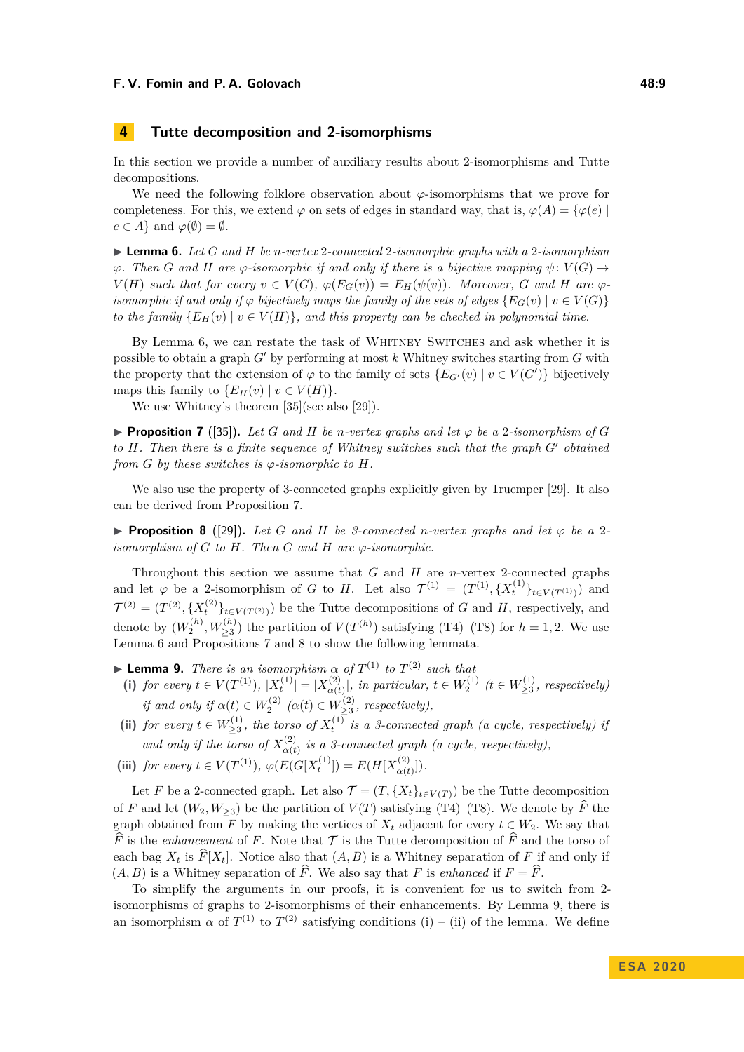# <span id="page-8-0"></span>**4 Tutte decomposition and 2-isomorphisms**

In this section we provide a number of auxiliary results about 2-isomorphisms and Tutte decompositions.

We need the following folklore observation about  $\varphi$ -isomorphisms that we prove for completeness. For this, we extend  $\varphi$  on sets of edges in standard way, that is,  $\varphi(A) = {\varphi(e)}$  $e \in A$  and  $\varphi(\emptyset) = \emptyset$ .

<span id="page-8-1"></span>I **Lemma 6.** *Let G and H be n-vertex* 2*-connected* 2*-isomorphic graphs with a* 2*-isomorphism*  $\varphi$ *. Then G* and *H* are  $\varphi$ -isomorphic if and only if there is a bijective mapping  $\psi: V(G) \to$  $V(H)$  such that for every  $v \in V(G)$ ,  $\varphi(E_G(v)) = E_H(\psi(v))$ . Moreover, G and H are  $\varphi$ *isomorphic if and only if*  $\varphi$  *bijectively maps the family of the sets of edges*  $\{E_G(v) \mid v \in V(G)\}$ *to the family*  ${E_H(v) \mid v \in V(H)}$ *, and this property can be checked in polynomial time.* 

By Lemma [6,](#page-8-1) we can restate the task of Whitney Switches and ask whether it is possible to obtain a graph  $G'$  by performing at most  $k$  Whitney switches starting from  $G$  with the property that the extension of  $\varphi$  to the family of sets  $\{E_{G'}(v) \mid v \in V(G')\}$  bijectively maps this family to  ${E_H(v) | v \in V(H)}.$ 

We use Whitney's theorem [\[35\]](#page-18-0)(see also [\[29\]](#page-18-3)).

<span id="page-8-2"></span>**Proposition 7** ([\[35\]](#page-18-0)). Let G and H be *n*-vertex graphs and let  $\varphi$  be a 2-isomorphism of G *to H. Then there is a finite sequence of Whitney switches such that the graph G*<sup>0</sup> *obtained from*  $G$  *by these switches is*  $\varphi$ *-isomorphic to*  $H$ *.* 

We also use the property of 3-connected graphs explicitly given by Truemper [\[29\]](#page-18-3). It also can be derived from Proposition [7.](#page-8-2)

<span id="page-8-3"></span>**Proposition 8** ([\[29\]](#page-18-3)). Let G and H be 3-connected *n*-vertex graphs and let  $\varphi$  be a 2*isomorphism of*  $G$  *to*  $H$ *. Then*  $G$  *and*  $H$  *are*  $\varphi$ *-isomorphic.* 

Throughout this section we assume that *G* and *H* are *n*-vertex 2-connected graphs and let  $\varphi$  be a 2-isomorphism of *G* to *H*. Let also  $\mathcal{T}^{(1)} = (T^{(1)}, \{X_t^{(1)}\}_{t \in V(T^{(1)})})$  and  $\mathcal{T}^{(2)} = (T^{(2)}, \{X_t^{(2)}\}_{t \in V(T^{(2)})})$  be the Tutte decompositions of *G* and *H*, respectively, and denote by  $(W_2^{(h)}, W_{\geq 3}^{(h)})$  the partition of  $V(T^{(h)})$  satisfying (T4)–(T8) for  $h = 1, 2$ . We use Lemma [6](#page-8-1) and Propositions [7](#page-8-2) and [8](#page-8-3) to show the following lemmata.

- <span id="page-8-4"></span>**I Lemma 9.** *There is an isomorphism*  $\alpha$  *of*  $T^{(1)}$  *to*  $T^{(2)}$  *such that*
- (i) *for every*  $t \in V(T^{(1)}), |X_t^{(1)}| = |X_{\alpha(t)}^{(2)}|$ *(2)*  $\alpha(t)$ , *in particular,*  $t \in W_2^{(1)}$   $(t \in W_{\geq 3}^{(1)}$  $\sum_{i=3}^{(1)}$ , *respectively if and only if*  $\alpha(t) \in W_2^{(2)}$   $(\alpha(t) \in W_{\geq 3}^{(2)}$  $\sum_{\geq 3}^{(2)}$ , respectively),
- **(ii)** *for every t* ∈  $W_{>3}^{(1)}$  $\sum_{k\geq 3}^{(1)}$ , the torso of  $X_t^{(1)}$  is a 3-connected graph (a cycle, respectively) if *and only if the torso of*  $X^{(2)}_{\alpha}$  $\alpha(t)$  is a 3-connected graph (a cycle, respectively),
- (iii) *for every*  $t \in V(T^{(1)}), \varphi(E(G[X_t^{(1)}]) = E(H[X_{\alpha(t)}^{(2)}])$  $\binom{2}{\alpha(t)}$ .

Let *F* be a 2-connected graph. Let also  $\mathcal{T} = (T, \{X_t\}_{t \in V(T)})$  be the Tutte decomposition of *F* and let  $(W_2, W_{\geq 3})$  be the partition of  $V(T)$  satisfying (T4)–(T8). We denote by  $\widehat{F}$  the graph obtained from *F* by making the vertices of  $X_t$  adjacent for every  $t \in W_2$ . We say that  $\widehat{F}$  is the *enhancement* of *F*. Note that  $\mathcal T$  is the Tutte decomposition of  $\widehat{F}$  and the torso of each bag  $X_t$  is  $\widehat{F}[X_t]$ . Notice also that  $(A, B)$  is a Whitney separation of *F* if and only if  $(A, B)$  is a Whitney separation of  $\widehat{F}$ . We also say that *F* is *enhanced* if  $F = \widehat{F}$ .

To simplify the arguments in our proofs, it is convenient for us to switch from 2 isomorphisms of graphs to 2-isomorphisms of their enhancements. By Lemma [9,](#page-8-4) there is an isomorphism  $\alpha$  of  $T^{(1)}$  to  $T^{(2)}$  satisfying conditions (i) – (ii) of the lemma. We define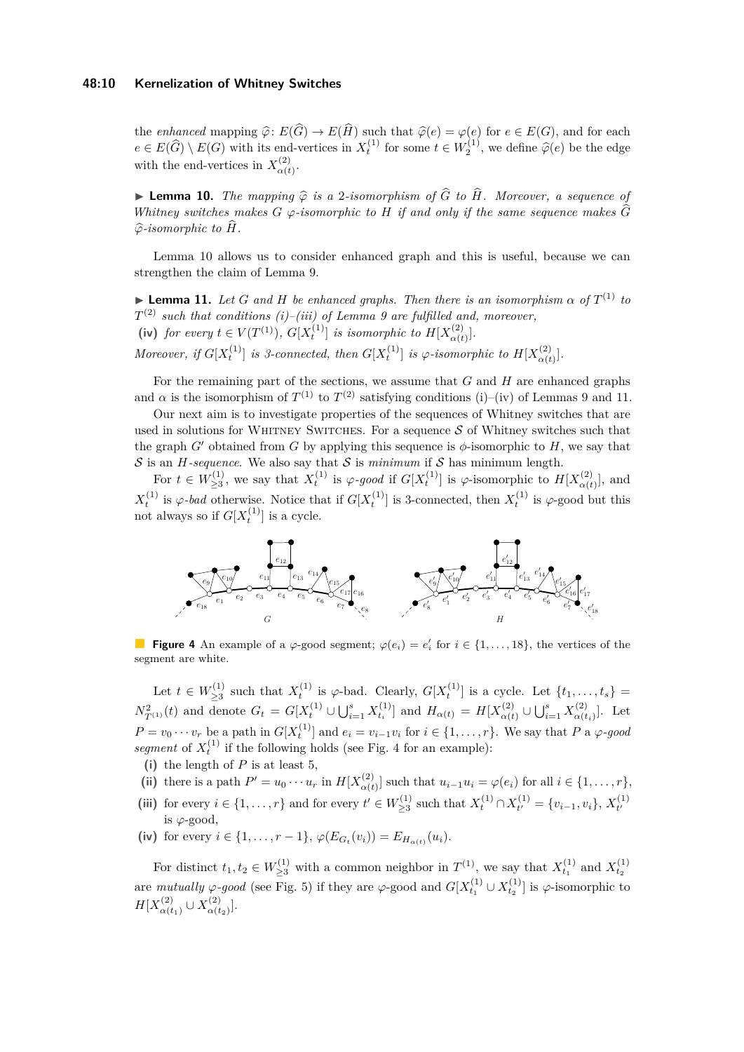#### **48:10 Kernelization of Whitney Switches**

the *enhanced* mapping  $\hat{\varphi}$ :  $E(G) \to E(H)$  such that  $\hat{\varphi}(e) = \varphi(e)$  for  $e \in E(G)$ , and for each  $E(\hat{G}) \setminus E(G)$  with its and vertices in  $Y^{(1)}$  for earns  $t \in W^{(1)}$  are define  $\hat{\varphi}(e)$  to the edge  $e \in E(\widehat{G}) \setminus E(G)$  with its end-vertices in  $X_t^{(1)}$  for some  $t \in W_2^{(1)}$ , we define  $\widehat{\varphi}(e)$  be the edge with the end-vertices in  $X^{(2)}_{\alpha\alpha}$  $\alpha(t)$ .<br>  $\alpha(t)$ 

<span id="page-9-0"></span>**► Lemma 10.** *The mapping*  $\hat{\varphi}$  *is a* 2*-isomorphism of*  $\hat{G}$  *to*  $\hat{H}$ *. Moreover, a sequence of Whitney switches makes*  $G \varphi$ -isomorphic to  $H$  *if and only if the same sequence makes*  $\widehat{G}$  $\widehat{\varphi}$ -isomorphic to  $\widehat{H}$ *.* 

Lemma [10](#page-9-0) allows us to consider enhanced graph and this is useful, because we can strengthen the claim of Lemma [9.](#page-8-4)

<span id="page-9-1"></span>**I Lemma 11.** Let G and H be enhanced graphs. Then there is an isomorphism  $\alpha$  of  $T^{(1)}$  to *T* (2) *such that conditions (i)–(iii) of Lemma [9](#page-8-4) are fulfilled and, moreover,* (iv) *for every*  $t \in V(T^{(1)}), G[X_t^{(1)}]$  *is isomorphic to*  $H[X_{\alpha(t)}^{(2)}]$  $\begin{bmatrix} 2 \ \alpha(t) \end{bmatrix}$ . *Moreover, if*  $G[X_t^{(1)}]$  *is 3-connected, then*  $G[X_t^{(1)}]$  *is*  $\varphi$ -*isomorphic to*  $H[X_{\alpha(t)}^{(2)}]$  $\begin{bmatrix} 2 \ \alpha(t) \end{bmatrix}$ .

For the remaining part of the sections, we assume that *G* and *H* are enhanced graphs and  $\alpha$  is the isomorphism of  $T^{(1)}$  to  $T^{(2)}$  satisfying conditions (i)–(iv) of Lemmas [9](#page-8-4) and [11.](#page-9-1)

Our next aim is to investigate properties of the sequences of Whitney switches that are used in solutions for WHITNEY SWITCHES. For a sequence  $S$  of Whitney switches such that the graph *G*<sup> $\prime$ </sup> obtained from *G* by applying this sequence is  $\phi$ -isomorphic to *H*, we say that S is an  $H$ -sequence. We also say that S is *minimum* if S has minimum length.

For  $t \in W_{>3}^{(1)}$ <sup>(1</sup>)</sup>/<sub>23</sub>, we say that  $X_t$ <sup>(1)</sup> is *ϕ-good* if  $G[X_t^{(1)}]$  is *ϕ*-isomorphic to  $H[X_{\alpha(t)}^{(2)}]$  $\alpha(t)$ , and  $X_t^{(1)}$  is  $\varphi$ -bad otherwise. Notice that if  $G[X_t^{(1)}]$  is 3-connected, then  $X_t^{(1)}$  is  $\varphi$ -good but this not always so if  $G[X_t^{(1)}]$  is a cycle.

<span id="page-9-2"></span>

**Figure 4** An example of a  $\varphi$ -good segment;  $\varphi(e_i) = e'_i$  for  $i \in \{1, \ldots, 18\}$ , the vertices of the segment are white.

Let  $t \in W^{(1)}_{\geq 3}$  $\sum_{\geq 3}^{(1)}$  such that  $X_t^{(1)}$  is  $\varphi$ -bad. Clearly,  $G[X_t^{(1)}]$  is a cycle. Let  $\{t_1, \ldots, t_s\}$  $N_{T^{(1)}}^2(t)$  and denote  $G_t = G[X_t^{(1)} \cup \bigcup_{i=1}^s X_{t_i}^{(1)}]$  and  $H_{\alpha(t)} = H[X_{\alpha(t)}^{(2)}]$ <sup>*α*</sup>(*t*) ∪ ∪<sup>*s*</sup><sub>*i*=1</sub> *X*<sup>(2)</sup><sub>*α*(*t*</sub>  $\left[\alpha(t_i)\right]$ . Let  $P = v_0 \cdots v_r$  be a path in  $G[X_t^{(1)}]$  and  $e_i = v_{i-1}v_i$  for  $i \in \{1, \ldots, r\}$ . We say that P a  $\varphi$ -good *segment* of  $X_t^{(1)}$  if the following holds (see Fig. [4](#page-9-2) for an example):

- **(i)** the length of *P* is at least 5,
- (ii) there is a path  $P' = u_0 \cdots u_r$  in  $H[X_{\alpha(t)}^{(2)}]$  $a_{\alpha(t)}^{(2)}$  such that  $u_{i-1}u_i = \varphi(e_i)$  for all  $i \in \{1, ..., r\}$ ,
- (iii) for every  $i \in \{1, ..., r\}$  and for every  $t' \in W^{(1)}_{>3}$  $\sum_{t=3}^{(1)}$  such that  $X_t^{(1)} \cap X_{t'}^{(1)}$  $t_t^{(1)} = \{v_{i-1}, v_i\}, X_{t'}^{(1)}$  $t'$ is *ϕ*-good,
- (iv) for every  $i \in \{1, ..., r 1\}$ ,  $\varphi(E_{G_t}(v_i)) = E_{H_{\alpha(t)}}(u_i)$ .

For distinct  $t_1, t_2 \in W_{\geq 3}^{(1)}$  with a common neighbor in  $T^{(1)}$ , we say that  $X_{t_1}^{(1)}$  and  $X_{t_2}^{(1)}$ are *mutually*  $\varphi$ -good (see Fig. [5\)](#page-10-1) if they are  $\varphi$ -good and  $G[X_{t_1}^{(1)} \cup X_{t_2}^{(1)}]$  is  $\varphi$ -isomorphic to  $H[X_{\alpha(t)}^{(2)}]$  $\alpha(t_1)$  ∪  $X_{\alpha(t)}^{(2)}$  $\left[\frac{(2)}{\alpha(t_2)}\right]$ .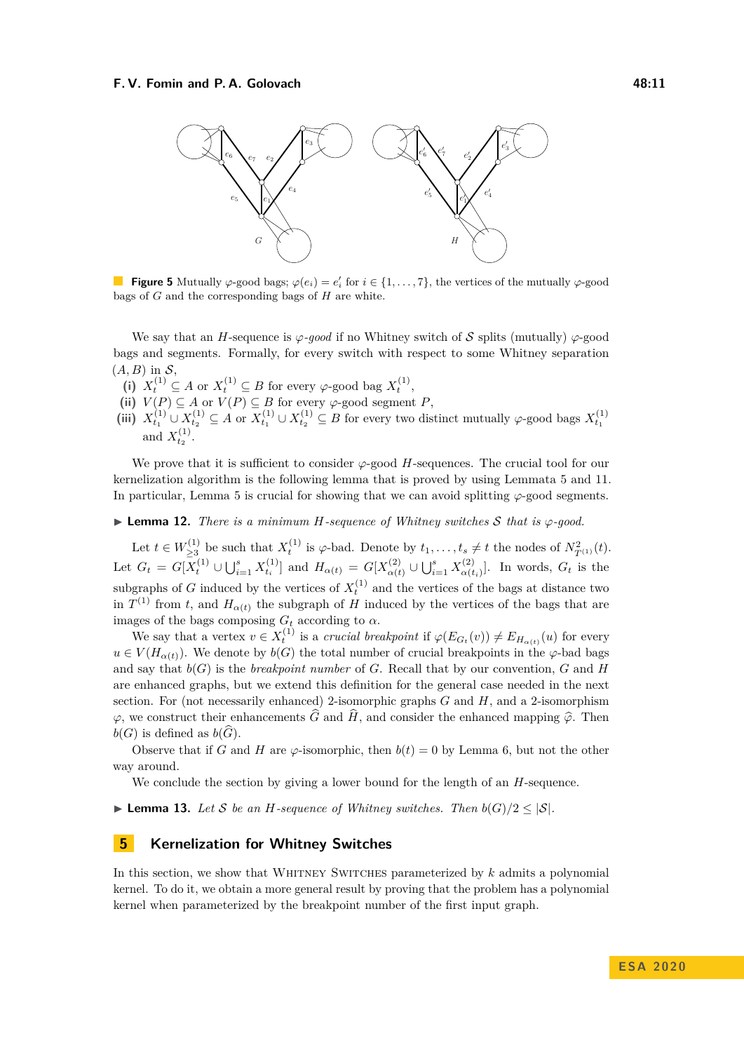<span id="page-10-1"></span>

**Figure 5** Mutually  $\varphi$ -good bags;  $\varphi(e_i) = e'_i$  for  $i \in \{1, \ldots, 7\}$ , the vertices of the mutually  $\varphi$ -good bags of *G* and the corresponding bags of *H* are white.

We say that an *H*-sequence is  $\varphi$ -good if no Whitney switch of S splits (mutually)  $\varphi$ -good bags and segments. Formally, for every switch with respect to some Whitney separation  $(A, B)$  in  $S$ ,

- (i)  $X_t^{(1)} \subseteq A$  or  $X_t^{(1)} \subseteq B$  for every  $\varphi$ -good bag  $X_t^{(1)}$ ,
- (ii)  $V(P) \subseteq A$  or  $V(P) \subseteq B$  for every  $\varphi$ -good segment *P*,
- (iii)  $X_{t_1}^{(1)} \cup X_{t_2}^{(1)} \subseteq A$  or  $X_{t_1}^{(1)} \cup X_{t_2}^{(1)} \subseteq B$  for every two distinct mutually  $\varphi$ -good bags  $X_{t_1}^{(1)}$ and  $X_{t_2}^{(1)}$ .

We prove that it is sufficient to consider  $\varphi$ -good *H*-sequences. The crucial tool for our kernelization algorithm is the following lemma that is proved by using Lemmata [5](#page-7-0) and [11.](#page-9-1) In particular, Lemma [5](#page-7-0) is crucial for showing that we can avoid splitting  $\varphi$ -good segments.

<span id="page-10-2"></span>**I Lemma 12.** *There is a minimum H-sequence of Whitney switches* S *that is*  $\varphi$ -good.

Let  $t \in W_{>3}^{(1)}$ <sup>(1)</sup>
<sup>*t*</sup>
23 be such that *X*<sup>{1}</sup></sub> is *ϕ*-bad. Denote by *t*<sub>1</sub>, . . . , *t*<sub>*s*</sub> ≠ *t* the nodes of *N*<sup>2</sup><sub>*T*</sub>(*t*). Let  $G_t = G[X_t^{(1)} \cup \bigcup_{i=1}^s X_{t_i}^{(1)}]$  and  $H_{\alpha(t)} = G[X_{\alpha(t)}^{(2)}]$ <sup>*α*</sup><sub>α(*t*)</sub> ∪ **U**<sup>*s*</sup><sub>*i*=1</sub> *X*<sub>α(*t*</sub>)  $\alpha(t_i)$ . In words,  $G_t$  is the subgraphs of *G* induced by the vertices of  $X_t^{(1)}$  and the vertices of the bags at distance two in  $T^{(1)}$  from *t*, and  $H_{\alpha(t)}$  the subgraph of *H* induced by the vertices of the bags that are images of the bags composing  $G_t$  according to  $\alpha$ .

We say that a vertex  $v \in X_t^{(1)}$  is a *crucial breakpoint* if  $\varphi(E_{G_t}(v)) \neq E_{H_{\alpha(t)}}(u)$  for every  $u \in V(H_{\alpha(t)})$ . We denote by  $b(G)$  the total number of crucial breakpoints in the  $\varphi$ -bad bags and say that  $b(G)$  is the *breakpoint number* of *G*. Recall that by our convention, *G* and *H* are enhanced graphs, but we extend this definition for the general case needed in the next section. For (not necessarily enhanced) 2-isomorphic graphs *G* and *H*, and a 2-isomorphism  $\varphi$ , we construct their enhancements  $\widehat{G}$  and  $\widehat{H}$ , and consider the enhanced mapping  $\widehat{\varphi}$ . Then  $b(G)$  is defined as  $b(G)$ .

Observe that if *G* and *H* are  $\varphi$ -isomorphic, then  $b(t) = 0$  by Lemma [6,](#page-8-1) but not the other way around.

We conclude the section by giving a lower bound for the length of an *H*-sequence.

<span id="page-10-4"></span>▶ **Lemma 13.** *Let* S *be an H*-sequence of Whitney switches. Then  $b(G)/2 < |S|$ .

# <span id="page-10-0"></span>**5 Kernelization for Whitney Switches**

<span id="page-10-3"></span>In this section, we show that Whitney Switches parameterized by *k* admits a polynomial kernel. To do it, we obtain a more general result by proving that the problem has a polynomial kernel when parameterized by the breakpoint number of the first input graph.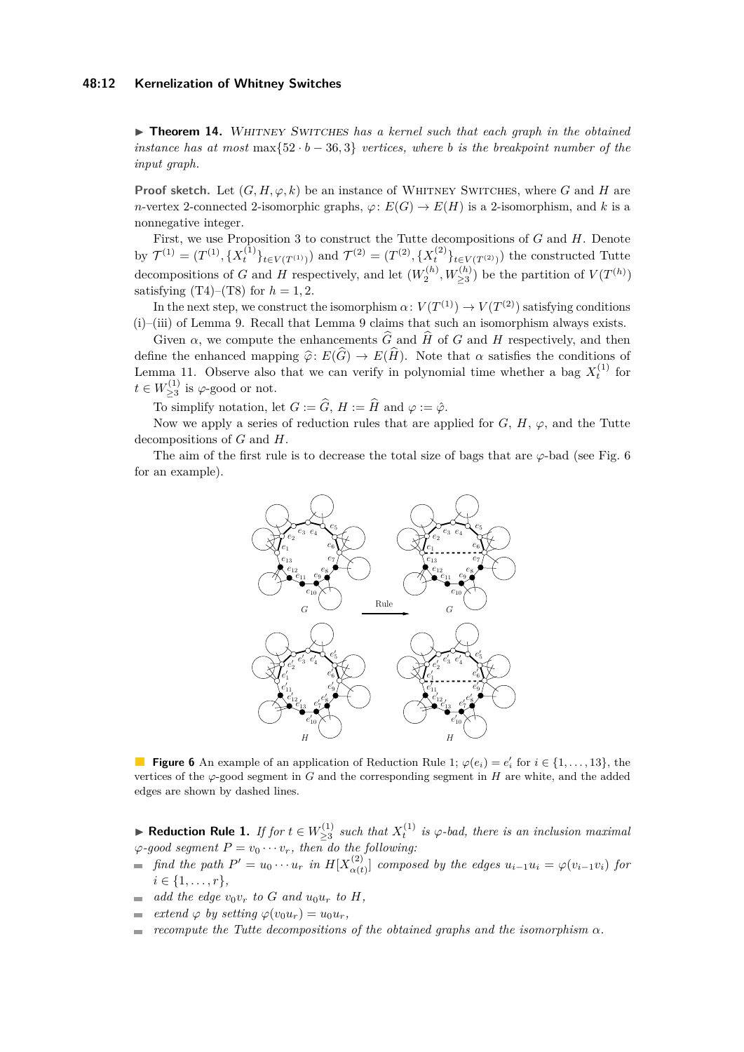#### **48:12 Kernelization of Whitney Switches**

▶ **Theorem 14.** WHITNEY SWITCHES has a kernel such that each graph in the obtained *instance has at most* max $\{52 \cdot b - 36, 3\}$  *vertices, where b is the breakpoint number of the input graph.*

**Proof sketch.** Let  $(G, H, \varphi, k)$  be an instance of WHITNEY SWITCHES, where G and H are *n*-vertex 2-connected 2-isomorphic graphs,  $\varphi$ :  $E(G) \to E(H)$  is a 2-isomorphism, and *k* is a nonnegative integer.

First, we use Proposition [3](#page-4-0) to construct the Tutte decompositions of *G* and *H*. Denote by  $\mathcal{T}^{(1)} = (T^{(1)}, \{X_t^{(1)}\}_{t \in V(T^{(1)})})$  and  $\mathcal{T}^{(2)} = (T^{(2)}, \{X_t^{(2)}\}_{t \in V(T^{(2)})})$  the constructed Tutte decompositions of *G* and *H* respectively, and let  $(W_2^{(h)}, W_{\geq 3}^{(h)})$  be the partition of  $V(T^{(h)})$ satisfying  $(T4)$ – $(T8)$  for  $h = 1, 2$ .

In the next step, we construct the isomorphism  $\alpha\colon V(T^{(1)}) \to V(T^{(2)})$  satisfying conditions (i)–(iii) of Lemma [9.](#page-8-4) Recall that Lemma [9](#page-8-4) claims that such an isomorphism always exists.

Given  $\alpha$ , we compute the enhancements  $\hat{G}$  and  $\hat{H}$  of *G* and *H* respectively, and then define the enhanced mapping  $\hat{\varphi}$ :  $E(\hat{G}) \to E(\hat{H})$ . Note that  $\alpha$  satisfies the conditions of Lemma [11.](#page-9-1) Observe also that we can verify in polynomial time whether a bag  $X_t^{(1)}$  for  $t \in W_{\geq 3}^{(1)}$  $\sum_{\geq 3}^{(1)}$  is  $\varphi$ -good or not.

To simplify notation, let  $G := \widehat{G}$ ,  $H := \widehat{H}$  and  $\varphi := \hat{\varphi}$ .

Now we apply a series of reduction rules that are applied for  $G, H, \varphi$ , and the Tutte decompositions of *G* and *H*.

<span id="page-11-0"></span>The aim of the first rule is to decrease the total size of bags that are  $\varphi$ -bad (see Fig. [6](#page-11-0)) for an example).



**Figure 6** An example of an application of Reduction Rule [1;](#page-11-1)  $\varphi(e_i) = e'_i$  for  $i \in \{1, \ldots, 13\}$ , the vertices of the  $\varphi$ -good segment in *G* and the corresponding segment in *H* are white, and the added edges are shown by dashed lines.

<span id="page-11-1"></span>▶ Reduction Rule 1. If for  $t \in W_{>3}^{(1)}$  $\sum_{\geq 3}^{(1)}$  *such that*  $X_t^{(1)}$  *is*  $\varphi$ -bad, there *is an inclusion maximal*  $\varphi$ *-good segment*  $P = v_0 \cdots v_r$ *, then do the following:* 

- *find the path*  $P' = u_0 \cdots u_r$  *in*  $H[X_{\alpha(t)}^{(2)}]$  $\alpha(t)$  *composed by the edges*  $u_{i-1}u_i = \varphi(v_{i-1}v_i)$  *for*  $i \in \{1, \ldots, r\},\$
- *add the edge*  $v_0v_r$  *to G and*  $u_0u_r$  *to H,*
- *extend*  $\varphi$  *by setting*  $\varphi(v_0u_r) = u_0u_r$ ,
- *recompute the Tutte decompositions of the obtained graphs and the isomorphism α.* $\equiv$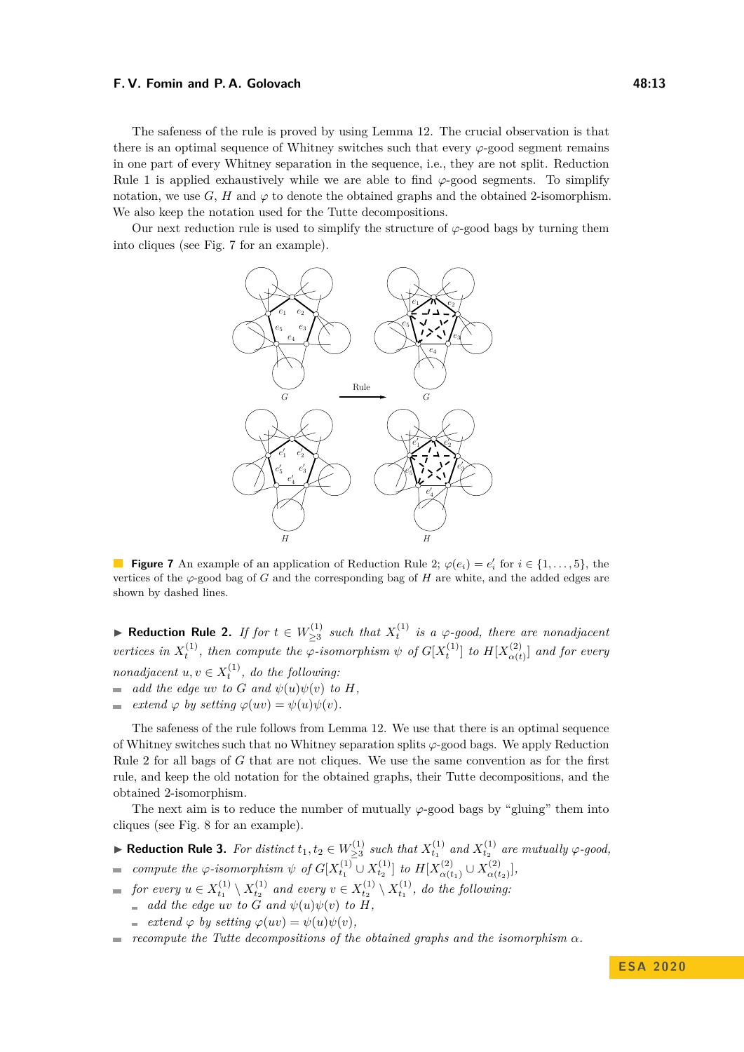The safeness of the rule is proved by using Lemma [12.](#page-10-2) The crucial observation is that there is an optimal sequence of Whitney switches such that every *ϕ*-good segment remains in one part of every Whitney separation in the sequence, i.e., they are not split. Reduction Rule [1](#page-11-1) is applied exhaustively while we are able to find  $\varphi$ -good segments. To simplify notation, we use  $G$ ,  $H$  and  $\varphi$  to denote the obtained graphs and the obtained 2-isomorphism. We also keep the notation used for the Tutte decompositions.

<span id="page-12-0"></span>Our next reduction rule is used to simplify the structure of  $\varphi$ -good bags by turning them into cliques (see Fig. [7](#page-12-0) for an example).



**Figure 7** An example of an application of Reduction Rule [2;](#page-12-1)  $\varphi(e_i) = e'_i$  for  $i \in \{1, \ldots, 5\}$ , the vertices of the  $\varphi$ -good bag of *G* and the corresponding bag of *H* are white, and the added edges are shown by dashed lines.

<span id="page-12-1"></span>▶ Reduction Rule 2. If for  $t \in W_{>3}^{(1)}$  $\sum_{\geq 3}^{(1)}$  *such that*  $X_t^{(1)}$  *is a*  $\varphi$ -good, there are nonadjacent *vertices in*  $X_t^{(1)}$ , then compute the  $\varphi$ -isomorphism  $\psi$  of  $G[X_t^{(1)}]$  to  $H[X_{\alpha(t)}^{(2)}]$  $\left[\alpha(t) \atop \alpha(t)\right]$  and for every *nonadjacent*  $u, v \in X_t^{(1)}$ , *do the following:* 

- $\blacksquare$  *add the edge uv to G and*  $\psi(u)\psi(v)$  *to H,*
- *extend*  $\varphi$  *by setting*  $\varphi(uv) = \psi(u)\psi(v)$ *.*  $\sim$

The safeness of the rule follows from Lemma [12.](#page-10-2) We use that there is an optimal sequence of Whitney switches such that no Whitney separation splits *ϕ*-good bags. We apply Reduction Rule [2](#page-12-1) for all bags of *G* that are not cliques. We use the same convention as for the first rule, and keep the old notation for the obtained graphs, their Tutte decompositions, and the obtained 2-isomorphism.

The next aim is to reduce the number of mutually  $\varphi$ -good bags by "gluing" them into cliques (see Fig. [8](#page-13-0) for an example).

- <span id="page-12-2"></span>▶ **Reduction Rule 3.** *For distinct*  $t_1, t_2 \in W_{>3}^{(1)}$  $\sum_{\geq 3}^{(1)}$  *such that*  $X_{t_1}^{(1)}$  *and*  $X_{t_2}^{(1)}$  *are mutually*  $\varphi$ -good,
- *compute the*  $\varphi$ -*isomorphism*  $\psi$  *of*  $G[X_{t_1}^{(1)} \cup X_{t_2}^{(1)}]$  *to*  $H[X_{\alpha(t)}^{(2)}]$  $\alpha(t_1) \cup X_{\alpha(t)}^{(2)}$  $[\alpha(t_2)]$
- *for every*  $u \in X_{t_1}^{(1)} \setminus X_{t_2}^{(1)}$  and every  $v \in X_{t_2}^{(1)} \setminus X_{t_1}^{(1)}$ , do the following:
	- *add the edge uv to G and*  $\psi(u)\psi(v)$  *to H,*
	- $\Rightarrow$  *extend*  $\varphi$  *by setting*  $\varphi(uv) = \psi(u)\psi(v)$ *,*
- $\bullet$  *recompute the Tutte decompositions of the obtained graphs and the isomorphism* $\alpha$ *.*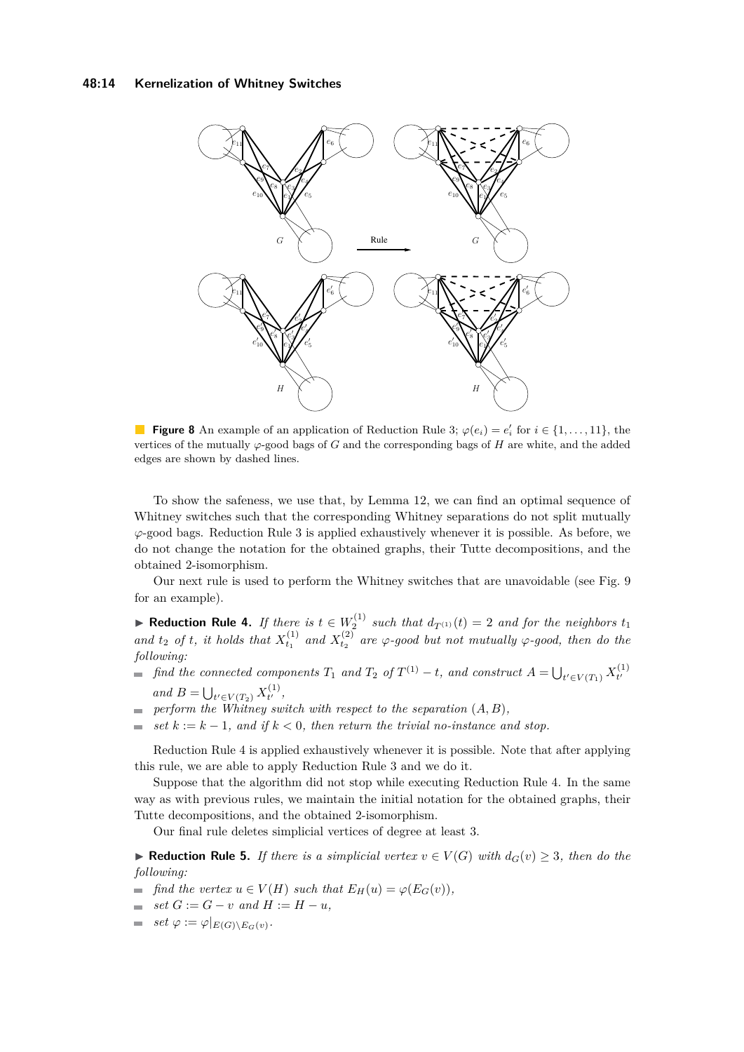<span id="page-13-0"></span>

**Figure 8** An example of an application of Reduction Rule [3;](#page-12-2)  $\varphi(e_i) = e'_i$  for  $i \in \{1, \ldots, 11\}$ , the vertices of the mutually  $\varphi$ -good bags of *G* and the corresponding bags of *H* are white, and the added edges are shown by dashed lines.

To show the safeness, we use that, by Lemma [12,](#page-10-2) we can find an optimal sequence of Whitney switches such that the corresponding Whitney separations do not split mutually *ϕ*-good bags. Reduction Rule [3](#page-12-2) is applied exhaustively whenever it is possible. As before, we do not change the notation for the obtained graphs, their Tutte decompositions, and the obtained 2-isomorphism.

Our next rule is used to perform the Whitney switches that are unavoidable (see Fig. [9](#page-14-1) for an example).

<span id="page-13-1"></span>▶ **Reduction Rule 4.** *If there is*  $t \in W_2^{(1)}$  *such that*  $d_{T^{(1)}}(t) = 2$  *and for the neighbors*  $t_1$ and  $t_2$  *of*  $t$ *, it holds that*  $X_{t_1}^{(1)}$  *and*  $X_{t_2}^{(2)}$  *are*  $\varphi$ *-good but not mutually*  $\varphi$ *-good, then do the following:*

- *find the connected components*  $T_1$  *and*  $T_2$  *of*  $T^{(1)} t$ *, and construct*  $A = \bigcup_{t' \in V(T_1)} X_{t'}^{(1)}$  $t'$ 
	- *and*  $B = \bigcup_{t' \in V(T_2)} X_{t'}^{(1)}$  $t^{(1)}$ ,
- *perform the Whitney switch with respect to the separation* (*A, B*)*,* m.
- *set*  $k := k 1$ *, and if*  $k < 0$ *, then return the trivial no-instance and stop.*  $\overline{\phantom{a}}$

Reduction Rule [4](#page-13-1) is applied exhaustively whenever it is possible. Note that after applying this rule, we are able to apply Reduction Rule [3](#page-12-2) and we do it.

Suppose that the algorithm did not stop while executing Reduction Rule [4.](#page-13-1) In the same way as with previous rules, we maintain the initial notation for the obtained graphs, their Tutte decompositions, and the obtained 2-isomorphism.

Our final rule deletes simplicial vertices of degree at least 3.

<span id="page-13-2"></span>**► Reduction Rule 5.** If there is a simplicial vertex  $v \in V(G)$  with  $d_G(v) \geq 3$ , then do the *following:*

- *find the vertex*  $u \in V(H)$  *such that*  $E_H(u) = \varphi(E_G(v))$ *,*
- $\blacksquare$  *set*  $G := G v$  *and*  $H := H u$ *,*
- $set \varphi := \varphi|_{E(G) \setminus E_G(v)}$ .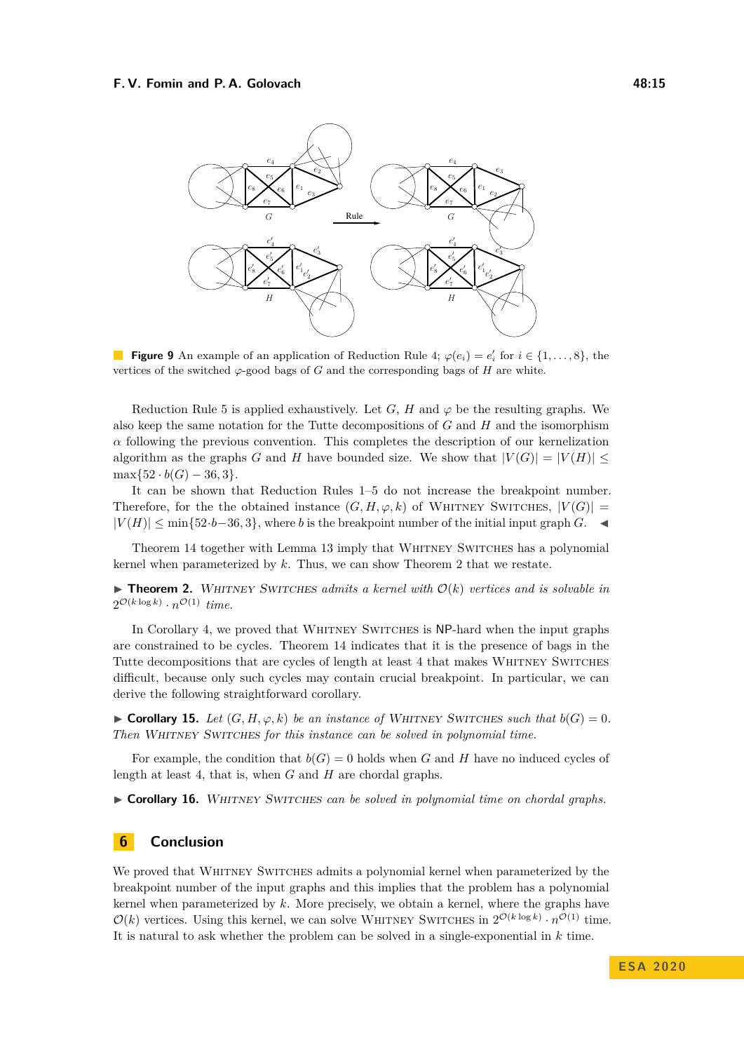<span id="page-14-1"></span>

**Figure 9** An example of an application of Reduction Rule [4;](#page-13-1)  $\varphi(e_i) = e'_i$  for  $i \in \{1, ..., 8\}$ , the vertices of the switched *ϕ*-good bags of *G* and the corresponding bags of *H* are white.

Reduction Rule [5](#page-13-2) is applied exhaustively. Let *G*, *H* and  $\varphi$  be the resulting graphs. We also keep the same notation for the Tutte decompositions of *G* and *H* and the isomorphism *α* following the previous convention. This completes the description of our kernelization algorithm as the graphs *G* and *H* have bounded size. We show that  $|V(G)| = |V(H)|$  $\max\{52 \cdot b(G) - 36, 3\}.$ 

It can be shown that Reduction Rules [1–](#page-11-1)[5](#page-13-2) do not increase the breakpoint number. Therefore, for the the obtained instance  $(G, H, \varphi, k)$  of WHITNEY SWITCHES,  $|V(G)| =$  $|V(H)|$  ≤ min{52·*b*−36*,* 3}, where *b* is the breakpoint number of the initial input graph *G*.  $\triangleleft$ 

Theorem [14](#page-10-3) together with Lemma [13](#page-10-4) imply that Whitney Switches has a polynomial kernel when parameterized by *k*. Thus, we can show Theorem [2](#page-2-0) that we restate.

 $\triangleright$  **Theorem 2.** WHITNEY SWITCHES *admits a kernel with*  $\mathcal{O}(k)$  *vertices and is solvable in*  $2^{\mathcal{O}(k\log k)} \cdot n^{\mathcal{O}(1)}$  *time.* 

In Corollary [4,](#page-6-0) we proved that WHITNEY SWITCHES is NP-hard when the input graphs are constrained to be cycles. Theorem [14](#page-10-3) indicates that it is the presence of bags in the Tutte decompositions that are cycles of length at least 4 that makes WHITNEY SWITCHES difficult, because only such cycles may contain crucial breakpoint. In particular, we can derive the following straightforward corollary.

► Corollary 15. Let  $(G, H, \varphi, k)$  be an instance of WHITNEY SWITCHES such that  $b(G) = 0$ . *Then* WHITNEY SWITCHES for this instance can be solved in polynomial time.

For example, the condition that  $b(G) = 0$  holds when *G* and *H* have no induced cycles of length at least 4, that is, when *G* and *H* are chordal graphs.

► Corollary 16. WHITNEY SWITCHES can be solved in polynomial time on chordal graphs.

# <span id="page-14-0"></span>**6 Conclusion**

We proved that WHITNEY SWITCHES admits a polynomial kernel when parameterized by the breakpoint number of the input graphs and this implies that the problem has a polynomial kernel when parameterized by *k*. More precisely, we obtain a kernel, where the graphs have  $\mathcal{O}(k)$  vertices. Using this kernel, we can solve WHITNEY SWITCHES in  $2^{\mathcal{O}(k \log k)} \cdot n^{\mathcal{O}(1)}$  time. It is natural to ask whether the problem can be solved in a single-exponential in *k* time.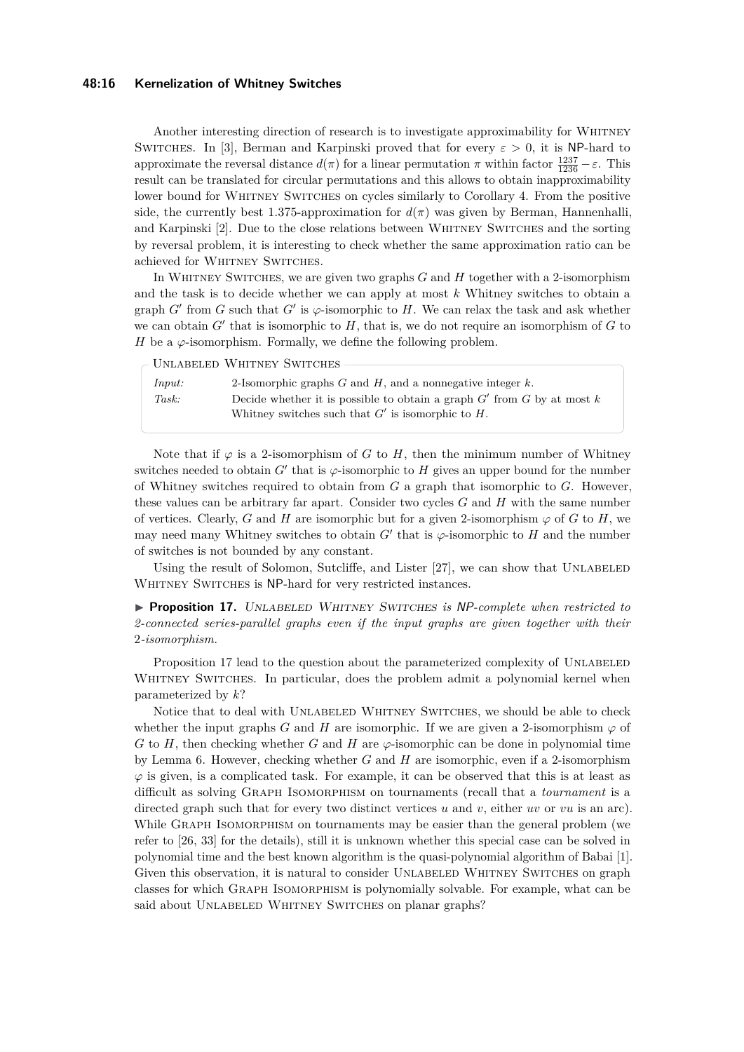#### **48:16 Kernelization of Whitney Switches**

Another interesting direction of research is to investigate approximability for Whitney SWITCHES. In [\[3\]](#page-16-2), Berman and Karpinski proved that for every  $\varepsilon > 0$ , it is NP-hard to approximate the reversal distance  $d(\pi)$  for a linear permutation  $\pi$  within factor  $\frac{1237}{1236} - \varepsilon$ . This result can be translated for circular permutations and this allows to obtain inapproximability lower bound for WHITNEY SWITCHES on cycles similarly to Corollary [4.](#page-6-0) From the positive side, the currently best 1.375-approximation for  $d(\pi)$  was given by Berman, Hannenhalli, and Karpinski [\[2\]](#page-16-3). Due to the close relations between Whitney Switches and the sorting by reversal problem, it is interesting to check whether the same approximation ratio can be achieved for WHITNEY SWITCHES.

In Whitney Switches, we are given two graphs *G* and *H* together with a 2-isomorphism and the task is to decide whether we can apply at most *k* Whitney switches to obtain a graph *G*<sup> $\prime$ </sup> from *G* such that *G*<sup> $\prime$ </sup> is  $\varphi$ -isomorphic to *H*. We can relax the task and ask whether we can obtain  $G'$  that is isomorphic to  $H$ , that is, we do not require an isomorphism of  $G$  to *H* be a  $\varphi$ -isomorphism. Formally, we define the following problem.

*Input:* 2-Isomorphic graphs *G* and *H*, and a nonnegative integer *k*. *Task:* Decide whether it is possible to obtain a graph  $G'$  from  $G$  by at most  $k$ Whitney switches such that  $G'$  is isomorphic to  $H$ . Unlabeled Whitney Switches

Note that if  $\varphi$  is a 2-isomorphism of *G* to *H*, then the minimum number of Whitney switches needed to obtain  $G'$  that is  $\varphi$ -isomorphic to  $H$  gives an upper bound for the number of Whitney switches required to obtain from *G* a graph that isomorphic to *G*. However, these values can be arbitrary far apart. Consider two cycles *G* and *H* with the same number of vertices. Clearly, *G* and *H* are isomorphic but for a given 2-isomorphism  $\varphi$  of *G* to *H*, we may need many Whitney switches to obtain  $G'$  that is  $\varphi$ -isomorphic to  $H$  and the number of switches is not bounded by any constant.

Using the result of Solomon, Sutcliffe, and Lister  $[27]$ , we can show that UNLABELED WHITNEY SWITCHES is NP-hard for very restricted instances.

<span id="page-15-0"></span>I **Proposition 17.** Unlabeled Whitney Switches *is* NP*-complete when restricted to 2-connected series-parallel graphs even if the input graphs are given together with their* 2*-isomorphism.*

Proposition [17](#page-15-0) lead to the question about the parameterized complexity of UNLABELED WHITNEY SWITCHES. In particular, does the problem admit a polynomial kernel when parameterized by *k*?

Notice that to deal with UNLABELED WHITNEY SWITCHES, we should be able to check whether the input graphs *G* and *H* are isomorphic. If we are given a 2-isomorphism  $\varphi$  of *G* to *H*, then checking whether *G* and *H* are  $\varphi$ -isomorphic can be done in polynomial time by Lemma [6.](#page-8-1) However, checking whether *G* and *H* are isomorphic, even if a 2-isomorphism  $\varphi$  is given, is a complicated task. For example, it can be observed that this is at least as difficult as solving Graph Isomorphism on tournaments (recall that a *tournament* is a directed graph such that for every two distinct vertices *u* and *v*, either *uv* or *vu* is an arc). While GRAPH ISOMORPHISM on tournaments may be easier than the general problem (we refer to [\[26,](#page-17-18) [33\]](#page-18-8) for the details), still it is unknown whether this special case can be solved in polynomial time and the best known algorithm is the quasi-polynomial algorithm of Babai [\[1\]](#page-16-4). Given this observation, it is natural to consider UNLABELED WHITNEY SWITCHES on graph classes for which Graph Isomorphism is polynomially solvable. For example, what can be said about UNLABELED WHITNEY SWITCHES on planar graphs?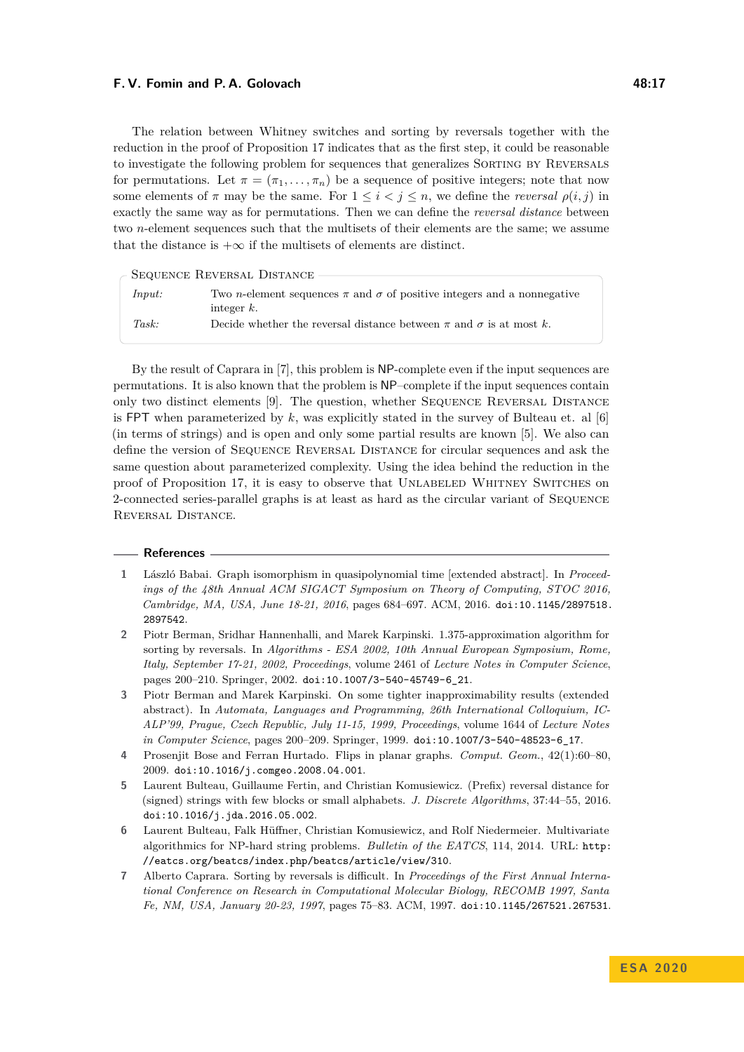The relation between Whitney switches and sorting by reversals together with the reduction in the proof of Proposition [17](#page-15-0) indicates that as the first step, it could be reasonable to investigate the following problem for sequences that generalizes SORTING BY REVERSALS for permutations. Let  $\pi = (\pi_1, \ldots, \pi_n)$  be a sequence of positive integers; note that now some elements of  $\pi$  may be the same. For  $1 \leq i < j \leq n$ , we define the *reversal*  $\rho(i, j)$  in exactly the same way as for permutations. Then we can define the *reversal distance* between two *n*-element sequences such that the multisets of their elements are the same; we assume that the distance is  $+\infty$  if the multisets of elements are distinct.

| SEQUENCE REVERSAL DISTANCE                                                                |  |
|-------------------------------------------------------------------------------------------|--|
|                                                                                           |  |
| Two <i>n</i> -element sequences $\pi$ and $\sigma$ of positive integers and a nonnegative |  |
| integer $k$ .                                                                             |  |
| Decide whether the reversal distance between $\pi$ and $\sigma$ is at most k.             |  |
|                                                                                           |  |

By the result of Caprara in [\[7\]](#page-16-1), this problem is NP-complete even if the input sequences are permutations. It is also known that the problem is NP–complete if the input sequences contain only two distinct elements [\[9\]](#page-17-19). The question, whether SEQUENCE REVERSAL DISTANCE is FPT when parameterized by  $k$ , was explicitly stated in the survey of Bulteau et. al  $[6]$ (in terms of strings) and is open and only some partial results are known [\[5\]](#page-16-6). We also can define the version of Sequence Reversal Distance for circular sequences and ask the same question about parameterized complexity. Using the idea behind the reduction in the proof of Proposition [17,](#page-15-0) it is easy to observe that Unlabeled Whitney Switches on 2-connected series-parallel graphs is at least as hard as the circular variant of Sequence REVERSAL DISTANCE.

#### **References**

- <span id="page-16-4"></span>**1** László Babai. Graph isomorphism in quasipolynomial time [extended abstract]. In *Proceedings of the 48th Annual ACM SIGACT Symposium on Theory of Computing, STOC 2016, Cambridge, MA, USA, June 18-21, 2016*, pages 684–697. ACM, 2016. [doi:10.1145/2897518.](https://doi.org/10.1145/2897518.2897542) [2897542](https://doi.org/10.1145/2897518.2897542).
- <span id="page-16-3"></span>**2** Piotr Berman, Sridhar Hannenhalli, and Marek Karpinski. 1.375-approximation algorithm for sorting by reversals. In *Algorithms - ESA 2002, 10th Annual European Symposium, Rome, Italy, September 17-21, 2002, Proceedings*, volume 2461 of *Lecture Notes in Computer Science*, pages 200–210. Springer, 2002. [doi:10.1007/3-540-45749-6\\_21](https://doi.org/10.1007/3-540-45749-6_21).
- <span id="page-16-2"></span>**3** Piotr Berman and Marek Karpinski. On some tighter inapproximability results (extended abstract). In *Automata, Languages and Programming, 26th International Colloquium, IC-ALP'99, Prague, Czech Republic, July 11-15, 1999, Proceedings*, volume 1644 of *Lecture Notes in Computer Science*, pages 200–209. Springer, 1999. [doi:10.1007/3-540-48523-6\\_17](https://doi.org/10.1007/3-540-48523-6_17).
- <span id="page-16-0"></span>**4** Prosenjit Bose and Ferran Hurtado. Flips in planar graphs. *Comput. Geom.*, 42(1):60–80, 2009. [doi:10.1016/j.comgeo.2008.04.001](https://doi.org/10.1016/j.comgeo.2008.04.001).
- <span id="page-16-6"></span>**5** Laurent Bulteau, Guillaume Fertin, and Christian Komusiewicz. (Prefix) reversal distance for (signed) strings with few blocks or small alphabets. *J. Discrete Algorithms*, 37:44–55, 2016. [doi:10.1016/j.jda.2016.05.002](https://doi.org/10.1016/j.jda.2016.05.002).
- <span id="page-16-5"></span>**6** Laurent Bulteau, Falk Hüffner, Christian Komusiewicz, and Rolf Niedermeier. Multivariate algorithmics for NP-hard string problems. *Bulletin of the EATCS*, 114, 2014. URL: [http:](http://eatcs.org/beatcs/index.php/beatcs/article/view/310) [//eatcs.org/beatcs/index.php/beatcs/article/view/310](http://eatcs.org/beatcs/index.php/beatcs/article/view/310).
- <span id="page-16-1"></span>**7** Alberto Caprara. Sorting by reversals is difficult. In *Proceedings of the First Annual International Conference on Research in Computational Molecular Biology, RECOMB 1997, Santa Fe, NM, USA, January 20-23, 1997*, pages 75–83. ACM, 1997. [doi:10.1145/267521.267531](https://doi.org/10.1145/267521.267531).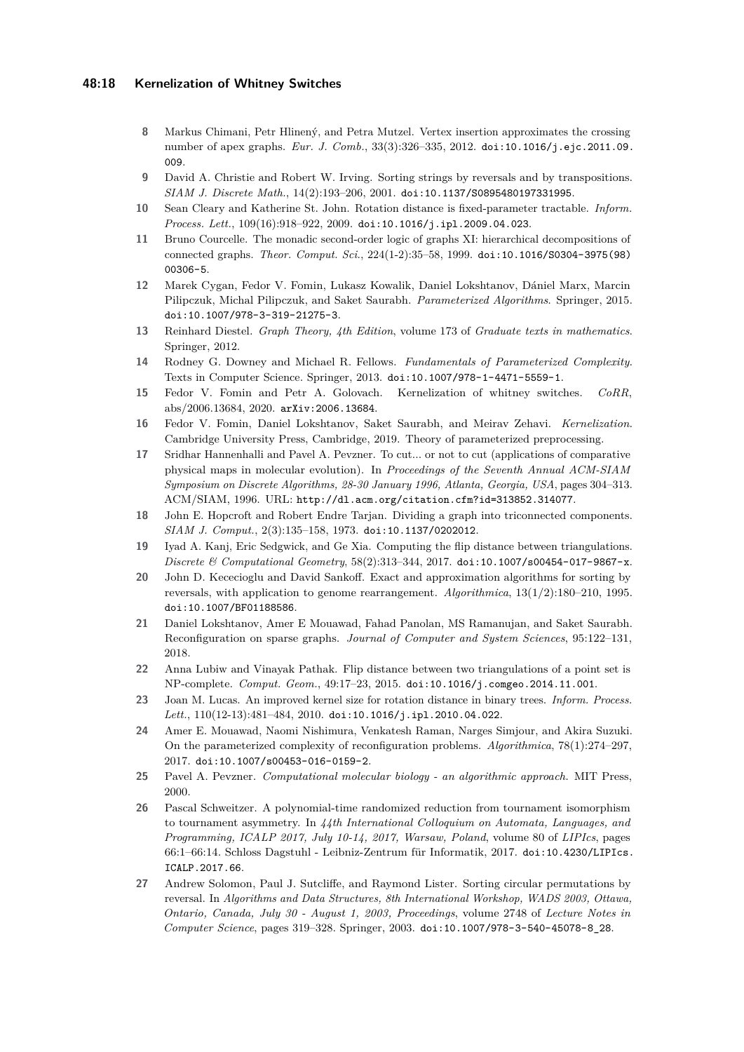#### **48:18 Kernelization of Whitney Switches**

- <span id="page-17-0"></span>**8** Markus Chimani, Petr Hlinený, and Petra Mutzel. Vertex insertion approximates the crossing number of apex graphs. *Eur. J. Comb.*, 33(3):326–335, 2012. [doi:10.1016/j.ejc.2011.09.](https://doi.org/10.1016/j.ejc.2011.09.009) [009](https://doi.org/10.1016/j.ejc.2011.09.009).
- <span id="page-17-19"></span>**9** David A. Christie and Robert W. Irving. Sorting strings by reversals and by transpositions. *SIAM J. Discrete Math.*, 14(2):193–206, 2001. [doi:10.1137/S0895480197331995](https://doi.org/10.1137/S0895480197331995).
- <span id="page-17-1"></span>**10** Sean Cleary and Katherine St. John. Rotation distance is fixed-parameter tractable. *Inform. Process. Lett.*, 109(16):918–922, 2009. [doi:10.1016/j.ipl.2009.04.023](https://doi.org/10.1016/j.ipl.2009.04.023).
- <span id="page-17-10"></span>**11** Bruno Courcelle. The monadic second-order logic of graphs XI: hierarchical decompositions of connected graphs. *Theor. Comput. Sci.*, 224(1-2):35–58, 1999. [doi:10.1016/S0304-3975\(98\)](https://doi.org/10.1016/S0304-3975(98)00306-5) [00306-5](https://doi.org/10.1016/S0304-3975(98)00306-5).
- <span id="page-17-12"></span>**12** Marek Cygan, Fedor V. Fomin, Lukasz Kowalik, Daniel Lokshtanov, Dániel Marx, Marcin Pilipczuk, Michal Pilipczuk, and Saket Saurabh. *Parameterized Algorithms*. Springer, 2015. [doi:10.1007/978-3-319-21275-3](https://doi.org/10.1007/978-3-319-21275-3).
- <span id="page-17-9"></span>**13** Reinhard Diestel. *Graph Theory, 4th Edition*, volume 173 of *Graduate texts in mathematics*. Springer, 2012.
- <span id="page-17-13"></span>**14** Rodney G. Downey and Michael R. Fellows. *Fundamentals of Parameterized Complexity*. Texts in Computer Science. Springer, 2013. [doi:10.1007/978-1-4471-5559-1](https://doi.org/10.1007/978-1-4471-5559-1).
- <span id="page-17-8"></span>**15** Fedor V. Fomin and Petr A. Golovach. Kernelization of whitney switches. *CoRR*, abs/2006.13684, 2020. [arXiv:2006.13684](http://arxiv.org/abs/2006.13684).
- <span id="page-17-14"></span>**16** Fedor V. Fomin, Daniel Lokshtanov, Saket Saurabh, and Meirav Zehavi. *Kernelization*. Cambridge University Press, Cambridge, 2019. Theory of parameterized preprocessing.
- <span id="page-17-7"></span>**17** Sridhar Hannenhalli and Pavel A. Pevzner. To cut... or not to cut (applications of comparative physical maps in molecular evolution). In *Proceedings of the Seventh Annual ACM-SIAM Symposium on Discrete Algorithms, 28-30 January 1996, Atlanta, Georgia, USA*, pages 304–313. ACM/SIAM, 1996. URL: <http://dl.acm.org/citation.cfm?id=313852.314077>.
- <span id="page-17-11"></span>**18** John E. Hopcroft and Robert Endre Tarjan. Dividing a graph into triconnected components. *SIAM J. Comput.*, 2(3):135–158, 1973. [doi:10.1137/0202012](https://doi.org/10.1137/0202012).
- <span id="page-17-4"></span>**19** Iyad A. Kanj, Eric Sedgwick, and Ge Xia. Computing the flip distance between triangulations. *Discrete & Computational Geometry*, 58(2):313–344, 2017. [doi:10.1007/s00454-017-9867-x](https://doi.org/10.1007/s00454-017-9867-x).
- <span id="page-17-17"></span>**20** John D. Kececioglu and David Sankoff. Exact and approximation algorithms for sorting by reversals, with application to genome rearrangement. *Algorithmica*, 13(1/2):180–210, 1995. [doi:10.1007/BF01188586](https://doi.org/10.1007/BF01188586).
- <span id="page-17-6"></span>**21** Daniel Lokshtanov, Amer E Mouawad, Fahad Panolan, MS Ramanujan, and Saket Saurabh. Reconfiguration on sparse graphs. *Journal of Computer and System Sciences*, 95:122–131, 2018.
- <span id="page-17-3"></span>**22** Anna Lubiw and Vinayak Pathak. Flip distance between two triangulations of a point set is NP-complete. *Comput. Geom.*, 49:17–23, 2015. [doi:10.1016/j.comgeo.2014.11.001](https://doi.org/10.1016/j.comgeo.2014.11.001).
- <span id="page-17-2"></span>**23** Joan M. Lucas. An improved kernel size for rotation distance in binary trees. *Inform. Process. Lett.*, 110(12-13):481–484, 2010. [doi:10.1016/j.ipl.2010.04.022](https://doi.org/10.1016/j.ipl.2010.04.022).
- <span id="page-17-5"></span>**24** Amer E. Mouawad, Naomi Nishimura, Venkatesh Raman, Narges Simjour, and Akira Suzuki. On the parameterized complexity of reconfiguration problems. *Algorithmica*, 78(1):274–297, 2017. [doi:10.1007/s00453-016-0159-2](https://doi.org/10.1007/s00453-016-0159-2).
- <span id="page-17-15"></span>**25** Pavel A. Pevzner. *Computational molecular biology - an algorithmic approach*. MIT Press, 2000.
- <span id="page-17-18"></span>**26** Pascal Schweitzer. A polynomial-time randomized reduction from tournament isomorphism to tournament asymmetry. In *44th International Colloquium on Automata, Languages, and Programming, ICALP 2017, July 10-14, 2017, Warsaw, Poland*, volume 80 of *LIPIcs*, pages 66:1–66:14. Schloss Dagstuhl - Leibniz-Zentrum für Informatik, 2017. [doi:10.4230/LIPIcs.](https://doi.org/10.4230/LIPIcs.ICALP.2017.66) [ICALP.2017.66](https://doi.org/10.4230/LIPIcs.ICALP.2017.66).
- <span id="page-17-16"></span>**27** Andrew Solomon, Paul J. Sutcliffe, and Raymond Lister. Sorting circular permutations by reversal. In *Algorithms and Data Structures, 8th International Workshop, WADS 2003, Ottawa, Ontario, Canada, July 30 - August 1, 2003, Proceedings*, volume 2748 of *Lecture Notes in Computer Science*, pages 319–328. Springer, 2003. [doi:10.1007/978-3-540-45078-8\\_28](https://doi.org/10.1007/978-3-540-45078-8_28).